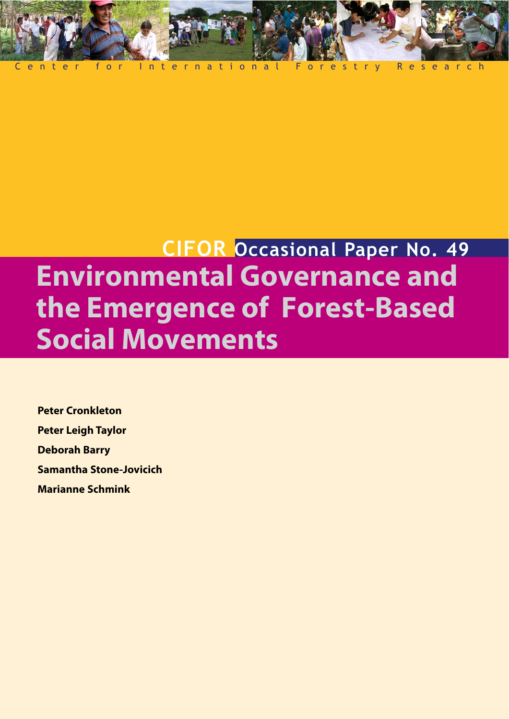

# **CIFOR Occasional Paper No. 49 Environmental Governance and the Emergence of Forest-Based Social Movements**

**Peter Cronkleton Peter Leigh Taylor Deborah Barry Samantha Stone-Jovicich Marianne Schmink**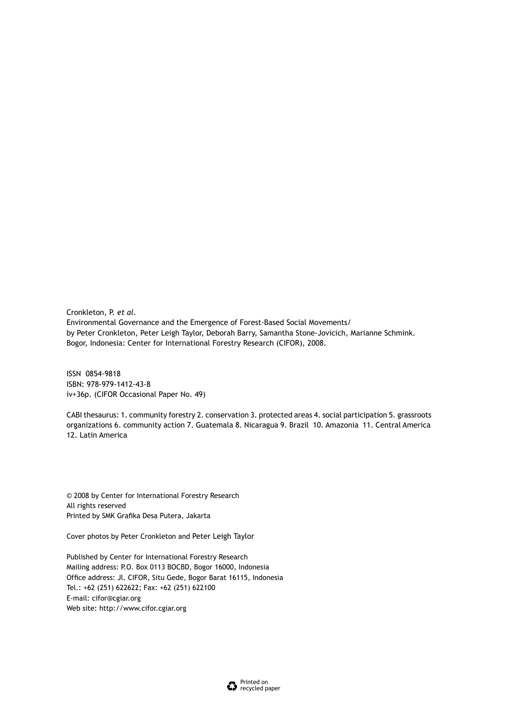Cronkleton, P. *et al*. Environmental Governance and the Emergence of Forest-Based Social Movements/ by Peter Cronkleton, Peter Leigh Taylor, Deborah Barry, Samantha Stone-Jovicich, Marianne Schmink. Bogor, Indonesia: Center for International Forestry Research (CIFOR), 2008.

ISSN 0854-9818 ISBN: 978-979-1412-43-8 iv+36p. (CIFOR Occasional Paper No. 49)

CABI thesaurus: 1. community forestry 2. conservation 3. protected areas 4. social participation 5. grassroots organizations 6. community action 7. Guatemala 8. Nicaragua 9. Brazil 10. Amazonia 11. Central America 12. Latin America

© 2008 by Center for International Forestry Research All rights reserved Printed by SMK Grafika Desa Putera, Jakarta

Cover photos by Peter Cronkleton and Peter Leigh Taylor

Published by Center for International Forestry Research Mailing address: P.O. Box 0113 BOCBD, Bogor 16000, Indonesia Office address: Jl. CIFOR, Situ Gede, Bogor Barat 16115, Indonesia Tel.: +62 (251) 622622; Fax: +62 (251) 622100 E-mail: cifor@cgiar.org Web site: http://www.cifor.cgiar.org

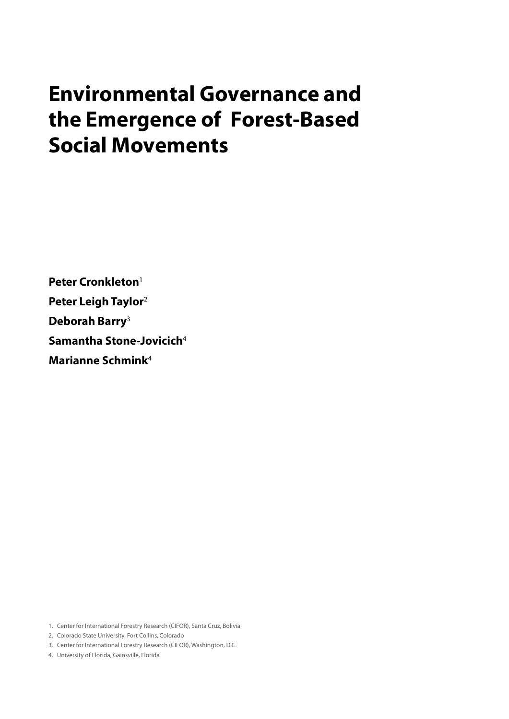# **Environmental Governance and the Emergence of Forest-Based Social Movements**

**Peter Cronkleton**<sup>1</sup> **Peter Leigh Taylor**<sup>2</sup> **Deborah Barry**<sup>3</sup>  **Samantha Stone-Jovicich**<sup>4</sup> **Marianne Schmink**<sup>4</sup>

1. Center for International Forestry Research (CIFOR), Santa Cruz, Bolivia

2. Colorado State University, Fort Collins, Colorado

3. Center for International Forestry Research (CIFOR), Washington, D.C.

4. University of Florida, Gainsville, Florida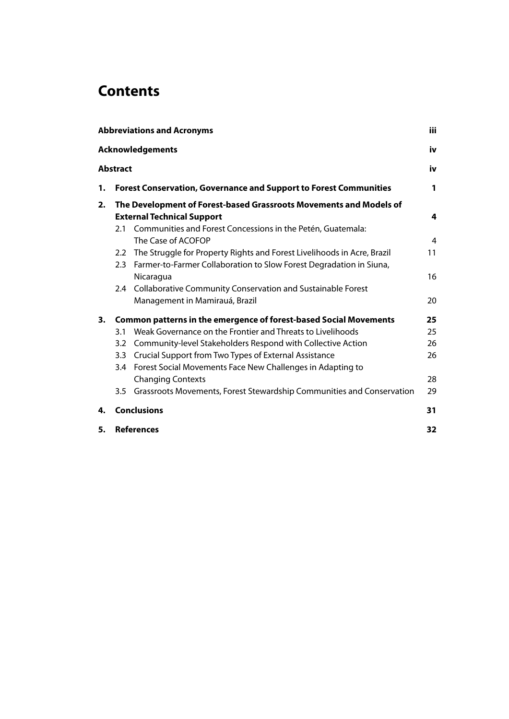## **Contents**

| <b>iii</b><br><b>Abbreviations and Acronyms</b> |                          |                                                                                                                                                                        |    |  |
|-------------------------------------------------|--------------------------|------------------------------------------------------------------------------------------------------------------------------------------------------------------------|----|--|
| <b>Acknowledgements</b><br>iv                   |                          |                                                                                                                                                                        |    |  |
| <b>Abstract</b>                                 |                          |                                                                                                                                                                        | iv |  |
| 1.                                              |                          | <b>Forest Conservation, Governance and Support to Forest Communities</b>                                                                                               | 1  |  |
| 2.                                              | 2.1                      | The Development of Forest-based Grassroots Movements and Models of<br><b>External Technical Support</b><br>Communities and Forest Concessions in the Petén, Guatemala: | 4  |  |
|                                                 |                          | The Case of ACOFOP                                                                                                                                                     | 4  |  |
|                                                 | 2.3                      | 2.2 The Struggle for Property Rights and Forest Livelihoods in Acre, Brazil<br>Farmer-to-Farmer Collaboration to Slow Forest Degradation in Siuna,                     | 11 |  |
|                                                 |                          | Nicaragua<br>2.4 Collaborative Community Conservation and Sustainable Forest                                                                                           | 16 |  |
|                                                 |                          | Management in Mamirauá, Brazil                                                                                                                                         | 20 |  |
| 3.                                              |                          | <b>Common patterns in the emergence of forest-based Social Movements</b>                                                                                               | 25 |  |
|                                                 | 3.1                      | Weak Governance on the Frontier and Threats to Livelihoods                                                                                                             | 25 |  |
|                                                 | 3.2                      | Community-level Stakeholders Respond with Collective Action                                                                                                            | 26 |  |
|                                                 | $3.3\phantom{0}$         | Crucial Support from Two Types of External Assistance                                                                                                                  | 26 |  |
|                                                 | 3.4                      | Forest Social Movements Face New Challenges in Adapting to                                                                                                             |    |  |
|                                                 |                          | <b>Changing Contexts</b>                                                                                                                                               | 28 |  |
|                                                 |                          | 3.5 Grassroots Movements, Forest Stewardship Communities and Conservation                                                                                              | 29 |  |
| 4.                                              | <b>Conclusions</b><br>31 |                                                                                                                                                                        |    |  |
| 5.                                              | <b>References</b><br>32  |                                                                                                                                                                        |    |  |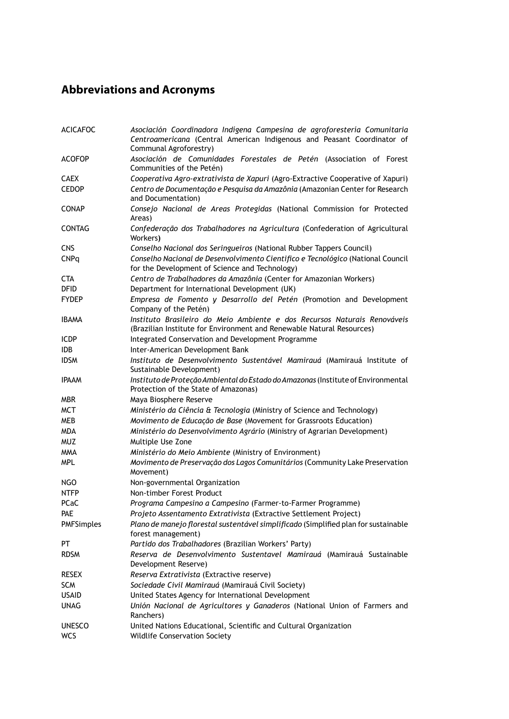### **Abbreviations and Acronyms**

| <b>ACICAFOC</b>   | Asociación Coordinadora Indígena Campesina de agroforestería Comunitaria<br>Centroamericana (Central American Indigenous and Peasant Coordinator of<br>Communal Agroforestry) |
|-------------------|-------------------------------------------------------------------------------------------------------------------------------------------------------------------------------|
| <b>ACOFOP</b>     | Asociación de Comunidades Forestales de Petén (Association of Forest<br>Communities of the Petén)                                                                             |
| <b>CAEX</b>       | Cooperativa Agro-extrativista de Xapuri (Agro-Extractive Cooperative of Xapuri)                                                                                               |
| <b>CEDOP</b>      | Centro de Documentação e Pesquisa da Amazônia (Amazonian Center for Research<br>and Documentation)                                                                            |
| <b>CONAP</b>      | Consejo Nacional de Areas Protegidas (National Commission for Protected<br>Areas)                                                                                             |
| <b>CONTAG</b>     | Confederação dos Trabalhadores na Agricultura (Confederation of Agricultural<br>Workers)                                                                                      |
| <b>CNS</b>        | Conselho Nacional dos Seringueiros (National Rubber Tappers Council)                                                                                                          |
| <b>CNPq</b>       | Conselho Nacional de Desenvolvimento Cientifico e Tecnológico (National Council<br>for the Development of Science and Technology)                                             |
| <b>CTA</b>        | Centro de Trabalhadores da Amazônia (Center for Amazonian Workers)                                                                                                            |
| <b>DFID</b>       | Department for International Development (UK)                                                                                                                                 |
| <b>FYDEP</b>      | Empresa de Fomento y Desarrollo del Petén (Promotion and Development<br>Company of the Petén)                                                                                 |
| <b>IBAMA</b>      | Instituto Brasileiro do Meio Ambiente e dos Recursos Naturais Renováveis<br>(Brazilian Institute for Environment and Renewable Natural Resources)                             |
| <b>ICDP</b>       | Integrated Conservation and Development Programme                                                                                                                             |
| IDB.              | Inter-American Development Bank                                                                                                                                               |
| <b>IDSM</b>       | Instituto de Desenvolvimento Sustentável Mamirauá (Mamirauá Institute of<br>Sustainable Development)                                                                          |
| <b>IPAAM</b>      | Instituto de Proteção Ambiental do Estado do Amazonas (Institute of Environmental<br>Protection of the State of Amazonas)                                                     |
| <b>MBR</b>        | Maya Biosphere Reserve                                                                                                                                                        |
| <b>MCT</b>        | Ministério da Ciência & Tecnologia (Ministry of Science and Technology)                                                                                                       |
| <b>MEB</b>        | Movimento de Educação de Base (Movement for Grassroots Education)                                                                                                             |
| <b>MDA</b>        | Ministério do Desenvolvimento Agrário (Ministry of Agrarian Development)                                                                                                      |
| <b>MUZ</b>        | Multiple Use Zone                                                                                                                                                             |
| <b>MMA</b>        | Ministério do Meio Ambiente (Ministry of Environment)                                                                                                                         |
| MPL               | Movimento de Preservação dos Lagos Comunitários (Community Lake Preservation<br>Movement)                                                                                     |
| NGO               | Non-governmental Organization                                                                                                                                                 |
| <b>NTFP</b>       | Non-timber Forest Product                                                                                                                                                     |
| <b>PCaC</b>       | Programa Campesino a Campesino (Farmer-to-Farmer Programme)                                                                                                                   |
| <b>PAE</b>        | Projeto Assentamento Extrativista (Extractive Settlement Project)                                                                                                             |
| <b>PMFSimples</b> | Plano de manejo florestal sustentável simplificado (Simplified plan for sustainable<br>forest management)                                                                     |
| PT                | Partido dos Trabalhadores (Brazilian Workers' Party)                                                                                                                          |
| <b>RDSM</b>       | Reserva de Desenvolvimento Sustentavel Mamirauá (Mamirauá Sustainable<br>Development Reserve)                                                                                 |
| <b>RESEX</b>      | Reserva Extrativista (Extractive reserve)                                                                                                                                     |
| <b>SCM</b>        | Sociedade Civil Mamirauá (Mamirauá Civil Society)                                                                                                                             |
| <b>USAID</b>      | United States Agency for International Development                                                                                                                            |
| <b>UNAG</b>       | Unión Nacional de Agricultores y Ganaderos (National Union of Farmers and<br>Ranchers)                                                                                        |
| <b>UNESCO</b>     | United Nations Educational, Scientific and Cultural Organization                                                                                                              |
| <b>WCS</b>        | <b>Wildlife Conservation Society</b>                                                                                                                                          |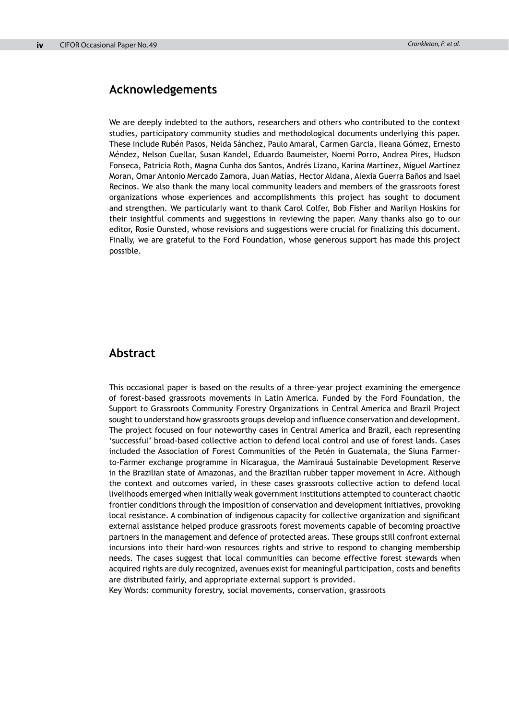#### **Acknowledgements**

We are deeply indebted to the authors, researchers and others who contributed to the context studies, participatory community studies and methodological documents underlying this paper. These include Rubén Pasos, Nelda Sánchez, Paulo Amaral, Carmen Garcia, Ileana Gómez, Ernesto Méndez, Nelson Cuellar, Susan Kandel, Eduardo Baumeister, Noemi Porro, Andrea Pires, Hudson Fonseca, Patricia Roth, Magna Cunha dos Santos, Andrés Lizano, Karina Martínez, Miguel Martínez Moran, Omar Antonio Mercado Zamora, Juan Matías, Hector Aldana, Alexia Guerra Baños and Isael Recinos. We also thank the many local community leaders and members of the grassroots forest organizations whose experiences and accomplishments this project has sought to document and strengthen. We particularly want to thank Carol Colfer, Bob Fisher and Marilyn Hoskins for their insightful comments and suggestions in reviewing the paper. Many thanks also go to our editor, Rosie Ounsted, whose revisions and suggestions were crucial for finalizing this document. Finally, we are grateful to the Ford Foundation, whose generous support has made this project possible.

#### **Abstract**

This occasional paper is based on the results of a three-year project examining the emergence of forest-based grassroots movements in Latin America. Funded by the Ford Foundation, the Support to Grassroots Community Forestry Organizations in Central America and Brazil Project sought to understand how grassroots groups develop and influence conservation and development. The project focused on four noteworthy cases in Central America and Brazil, each representing 'successful' broad-based collective action to defend local control and use of forest lands. Cases included the Association of Forest Communities of the Petén in Guatemala, the Siuna Farmerto-Farmer exchange programme in Nicaragua, the Mamirauá Sustainable Development Reserve in the Brazilian state of Amazonas, and the Brazilian rubber tapper movement in Acre. Although the context and outcomes varied, in these cases grassroots collective action to defend local livelihoods emerged when initially weak government institutions attempted to counteract chaotic frontier conditions through the imposition of conservation and development initiatives, provoking local resistance. A combination of indigenous capacity for collective organization and significant external assistance helped produce grassroots forest movements capable of becoming proactive partners in the management and defence of protected areas. These groups still confront external incursions into their hard-won resources rights and strive to respond to changing membership needs. The cases suggest that local communities can become effective forest stewards when acquired rights are duly recognized, avenues exist for meaningful participation, costs and benefits are distributed fairly, and appropriate external support is provided.

Key Words: community forestry, social movements, conservation, grassroots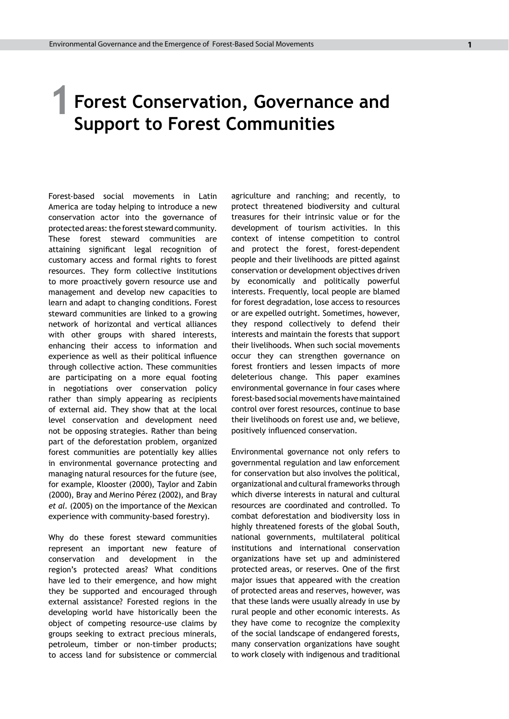# **Forest Conservation, Governance and 1**

**Support to Forest Communities**

Forest-based social movements in Latin America are today helping to introduce a new conservation actor into the governance of protected areas: the forest steward community. These forest steward communities are attaining significant legal recognition of customary access and formal rights to forest resources. They form collective institutions to more proactively govern resource use and management and develop new capacities to learn and adapt to changing conditions. Forest steward communities are linked to a growing network of horizontal and vertical alliances with other groups with shared interests, enhancing their access to information and experience as well as their political influence through collective action. These communities are participating on a more equal footing in negotiations over conservation policy rather than simply appearing as recipients of external aid. They show that at the local level conservation and development need not be opposing strategies. Rather than being part of the deforestation problem, organized forest communities are potentially key allies in environmental governance protecting and managing natural resources for the future (see, for example, Klooster (2000), Taylor and Zabin (2000), Bray and Merino Pérez (2002), and Bray *et al.* (2005) on the importance of the Mexican experience with community-based forestry).

Why do these forest steward communities represent an important new feature of conservation and development in the region's protected areas? What conditions have led to their emergence, and how might they be supported and encouraged through external assistance? Forested regions in the developing world have historically been the object of competing resource-use claims by groups seeking to extract precious minerals, petroleum, timber or non-timber products; to access land for subsistence or commercial agriculture and ranching; and recently, to protect threatened biodiversity and cultural treasures for their intrinsic value or for the development of tourism activities. In this context of intense competition to control and protect the forest, forest-dependent people and their livelihoods are pitted against conservation or development objectives driven by economically and politically powerful interests. Frequently, local people are blamed for forest degradation, lose access to resources or are expelled outright. Sometimes, however, they respond collectively to defend their interests and maintain the forests that support their livelihoods. When such social movements occur they can strengthen governance on forest frontiers and lessen impacts of more deleterious change. This paper examines environmental governance in four cases where forest-based social movements have maintained control over forest resources, continue to base their livelihoods on forest use and, we believe, positively influenced conservation.

Environmental governance not only refers to governmental regulation and law enforcement for conservation but also involves the political, organizational and cultural frameworks through which diverse interests in natural and cultural resources are coordinated and controlled. To combat deforestation and biodiversity loss in highly threatened forests of the global South, national governments, multilateral political institutions and international conservation organizations have set up and administered protected areas, or reserves. One of the first major issues that appeared with the creation of protected areas and reserves, however, was that these lands were usually already in use by rural people and other economic interests. As they have come to recognize the complexity of the social landscape of endangered forests, many conservation organizations have sought to work closely with indigenous and traditional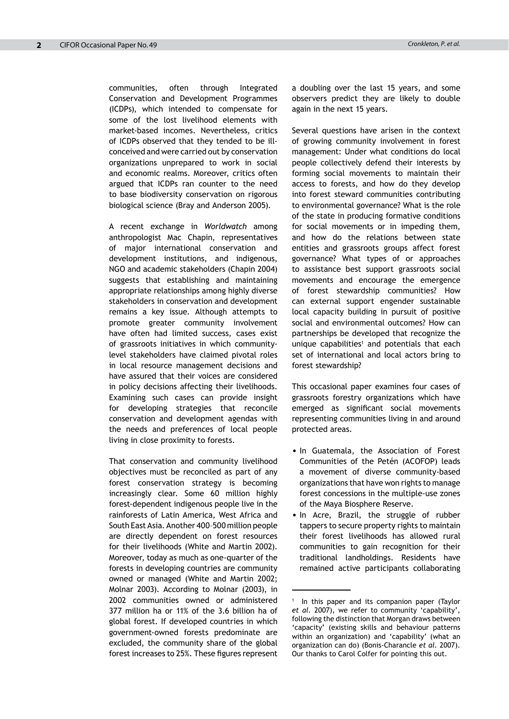communities, often through Integrated Conservation and Development Programmes (ICDPs), which intended to compensate for some of the lost livelihood elements with market-based incomes. Nevertheless, critics of ICDPs observed that they tended to be illconceived and were carried out by conservation organizations unprepared to work in social and economic realms. Moreover, critics often argued that ICDPs ran counter to the need to base biodiversity conservation on rigorous biological science (Bray and Anderson 2005).

A recent exchange in *Worldwatch* among anthropologist Mac Chapin, representatives of major international conservation and development institutions, and indigenous, NGO and academic stakeholders (Chapin 2004) suggests that establishing and maintaining appropriate relationships among highly diverse stakeholders in conservation and development remains a key issue. Although attempts to promote greater community involvement have often had limited success, cases exist of grassroots initiatives in which communitylevel stakeholders have claimed pivotal roles in local resource management decisions and have assured that their voices are considered in policy decisions affecting their livelihoods. Examining such cases can provide insight for developing strategies that reconcile conservation and development agendas with the needs and preferences of local people living in close proximity to forests.

That conservation and community livelihood objectives must be reconciled as part of any forest conservation strategy is becoming increasingly clear. Some 60 million highly forest-dependent indigenous people live in the rainforests of Latin America, West Africa and South East Asia. Another 400–500 million people are directly dependent on forest resources for their livelihoods (White and Martin 2002). Moreover, today as much as one-quarter of the forests in developing countries are community owned or managed (White and Martin 2002; Molnar 2003). According to Molnar (2003), in 2002 communities owned or administered 377 million ha or 11% of the 3.6 billion ha of global forest. If developed countries in which government-owned forests predominate are excluded, the community share of the global forest increases to 25%. These figures represent a doubling over the last 15 years, and some observers predict they are likely to double again in the next 15 years.

Several questions have arisen in the context of growing community involvement in forest management: Under what conditions do local people collectively defend their interests by forming social movements to maintain their access to forests, and how do they develop into forest steward communities contributing to environmental governance? What is the role of the state in producing formative conditions for social movements or in impeding them, and how do the relations between state entities and grassroots groups affect forest governance? What types of or approaches to assistance best support grassroots social movements and encourage the emergence of forest stewardship communities? How can external support engender sustainable local capacity building in pursuit of positive social and environmental outcomes? How can partnerships be developed that recognize the unique capabilities $<sup>1</sup>$  and potentials that each</sup> set of international and local actors bring to forest stewardship?

This occasional paper examines four cases of grassroots forestry organizations which have emerged as significant social movements representing communities living in and around protected areas.

- In Guatemala, the Association of Forest Communities of the Petén (ACOFOP) leads a movement of diverse community-based organizations that have won rights to manage forest concessions in the multiple-use zones of the Maya Biosphere Reserve.
- In Acre, Brazil, the struggle of rubber tappers to secure property rights to maintain their forest livelihoods has allowed rural communities to gain recognition for their traditional landholdings. Residents have remained active participants collaborating

<sup>1</sup> In this paper and its companion paper (Taylor *et al.* 2007), we refer to community 'capability', following the distinction that Morgan draws between 'capacity' (existing skills and behaviour patterns within an organization) and 'capability' (what an organization can do) (Bonis-Charancle *et al.* 2007). Our thanks to Carol Colfer for pointing this out.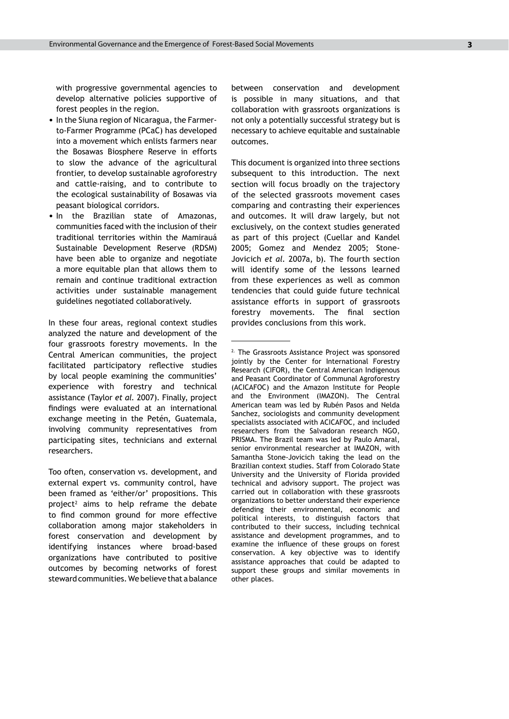with progressive governmental agencies to develop alternative policies supportive of forest peoples in the region.

- In the Siuna region of Nicaragua, the Farmerto-Farmer Programme (PCaC) has developed into a movement which enlists farmers near the Bosawas Biosphere Reserve in efforts to slow the advance of the agricultural frontier, to develop sustainable agroforestry and cattle-raising, and to contribute to the ecological sustainability of Bosawas via peasant biological corridors.
- In the Brazilian state of Amazonas, communities faced with the inclusion of their traditional territories within the Mamirauá Sustainable Development Reserve (RDSM) have been able to organize and negotiate a more equitable plan that allows them to remain and continue traditional extraction activities under sustainable management guidelines negotiated collaboratively.

In these four areas, regional context studies analyzed the nature and development of the four grassroots forestry movements. In the Central American communities, the project facilitated participatory reflective studies by local people examining the communities' experience with forestry and technical assistance (Taylor *et al.* 2007). Finally, project findings were evaluated at an international exchange meeting in the Petén, Guatemala, involving community representatives from participating sites, technicians and external researchers.

Too often, conservation vs. development, and external expert vs. community control, have been framed as 'either/or' propositions. This project<sup>2</sup> aims to help reframe the debate to find common ground for more effective collaboration among major stakeholders in forest conservation and development by identifying instances where broad-based organizations have contributed to positive outcomes by becoming networks of forest steward communities. We believe that a balance

between conservation and development is possible in many situations, and that collaboration with grassroots organizations is not only a potentially successful strategy but is necessary to achieve equitable and sustainable outcomes.

This document is organized into three sections subsequent to this introduction. The next section will focus broadly on the trajectory of the selected grassroots movement cases comparing and contrasting their experiences and outcomes. It will draw largely, but not exclusively, on the context studies generated as part of this project (Cuellar and Kandel 2005; Gomez and Mendez 2005; Stone-Jovicich *et al*. 2007a, b). The fourth section will identify some of the lessons learned from these experiences as well as common tendencies that could guide future technical assistance efforts in support of grassroots forestry movements. The final section provides conclusions from this work.

<sup>&</sup>lt;sup>2.</sup> The Grassroots Assistance Project was sponsored jointly by the Center for International Forestry Research (CIFOR), the Central American Indigenous and Peasant Coordinator of Communal Agroforestry (ACICAFOC) and the Amazon Institute for People and the Environment (IMAZON). The Central American team was led by Rubén Pasos and Nelda Sanchez, sociologists and community development specialists associated with ACICAFOC, and included researchers from the Salvadoran research NGO, PRISMA. The Brazil team was led by Paulo Amaral, senior environmental researcher at IMAZON, with Samantha Stone-Jovicich taking the lead on the Brazilian context studies. Staff from Colorado State University and the University of Florida provided technical and advisory support. The project was carried out in collaboration with these grassroots organizations to better understand their experience defending their environmental, economic and political interests, to distinguish factors that contributed to their success, including technical assistance and development programmes, and to examine the influence of these groups on forest conservation. A key objective was to identify assistance approaches that could be adapted to support these groups and similar movements in other places.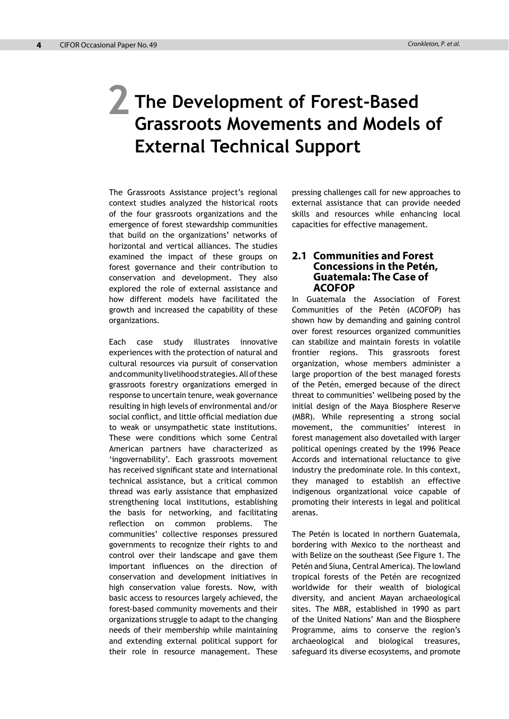## **The Development of Forest-Based Grassroots Movements and Models of External Technical Support 2**

The Grassroots Assistance project's regional context studies analyzed the historical roots of the four grassroots organizations and the emergence of forest stewardship communities that build on the organizations' networks of horizontal and vertical alliances. The studies examined the impact of these groups on forest governance and their contribution to conservation and development. They also explored the role of external assistance and how different models have facilitated the growth and increased the capability of these organizations.

Each case study illustrates innovative experiences with the protection of natural and cultural resources via pursuit of conservation and community livelihood strategies. All of these grassroots forestry organizations emerged in response to uncertain tenure, weak governance resulting in high levels of environmental and/or social conflict, and little official mediation due to weak or unsympathetic state institutions. These were conditions which some Central American partners have characterized as 'ingovernability'. Each grassroots movement has received significant state and international technical assistance, but a critical common thread was early assistance that emphasized strengthening local institutions, establishing the basis for networking, and facilitating reflection on common problems. The communities' collective responses pressured governments to recognize their rights to and control over their landscape and gave them important influences on the direction of conservation and development initiatives in high conservation value forests. Now, with basic access to resources largely achieved, the forest-based community movements and their organizations struggle to adapt to the changing needs of their membership while maintaining and extending external political support for their role in resource management. These

pressing challenges call for new approaches to external assistance that can provide needed skills and resources while enhancing local capacities for effective management.

#### **2.1 Communities and Forest Concessions in the Petén, Guatemala: The Case of ACOFOP**

In Guatemala the Association of Forest Communities of the Petén (ACOFOP) has shown how by demanding and gaining control over forest resources organized communities can stabilize and maintain forests in volatile frontier regions. This grassroots forest organization, whose members administer a large proportion of the best managed forests of the Petén, emerged because of the direct threat to communities' wellbeing posed by the initial design of the Maya Biosphere Reserve (MBR). While representing a strong social movement, the communities' interest in forest management also dovetailed with larger political openings created by the 1996 Peace Accords and international reluctance to give industry the predominate role. In this context, they managed to establish an effective indigenous organizational voice capable of promoting their interests in legal and political arenas.

The Petén is located in northern Guatemala, bordering with Mexico to the northeast and with Belize on the southeast (See Figure 1. The Petén and Siuna, Central America). The lowland tropical forests of the Petén are recognized worldwide for their wealth of biological diversity, and ancient Mayan archaeological sites. The MBR, established in 1990 as part of the United Nations' Man and the Biosphere Programme, aims to conserve the region's archaeological and biological treasures, safeguard its diverse ecosystems, and promote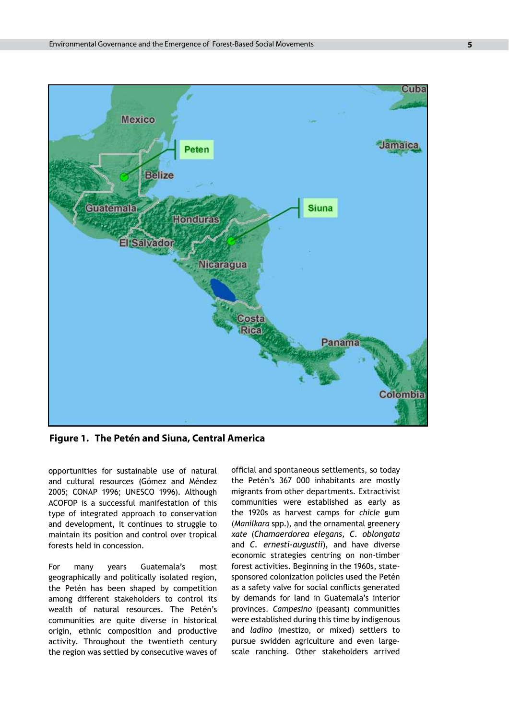

**Figure 1. The Petén and Siuna, Central America**

opportunities for sustainable use of natural and cultural resources (Gómez and Méndez 2005; CONAP 1996; UNESCO 1996). Although ACOFOP is a successful manifestation of this type of integrated approach to conservation and development, it continues to struggle to maintain its position and control over tropical forests held in concession.

For many years Guatemala's most geographically and politically isolated region, the Petén has been shaped by competition among different stakeholders to control its wealth of natural resources. The Petén's communities are quite diverse in historical origin, ethnic composition and productive activity. Throughout the twentieth century the region was settled by consecutive waves of official and spontaneous settlements, so today the Petén's 367 000 inhabitants are mostly migrants from other departments. Extractivist communities were established as early as the 1920s as harvest camps for *chicle* gum (*Manilkara* spp*.*), and the ornamental greenery *xate* (*Chamaerdorea elegans, C. oblongata*  and *C. ernesti-augustii*), and have diverse economic strategies centring on non-timber forest activities. Beginning in the 1960s, statesponsored colonization policies used the Petén as a safety valve for social conflicts generated by demands for land in Guatemala's interior provinces. *Campesino* (peasant) communities were established during this time by indigenous and *ladino* (mestizo, or mixed) settlers to pursue swidden agriculture and even largescale ranching. Other stakeholders arrived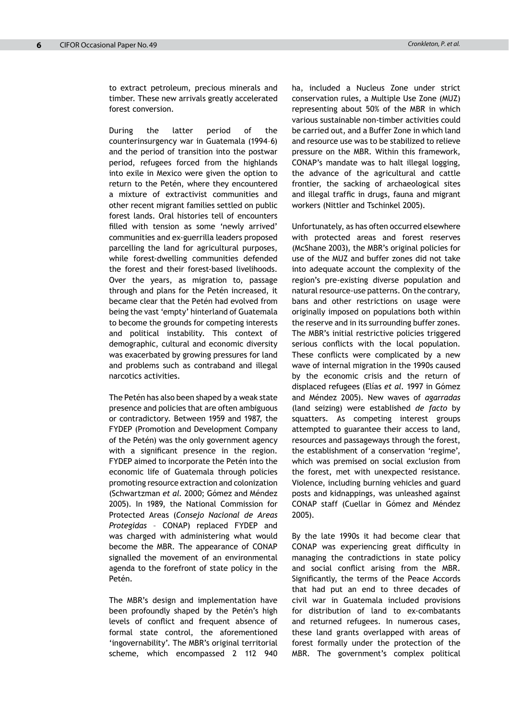to extract petroleum, precious minerals and timber. These new arrivals greatly accelerated forest conversion.

During the latter period of the counterinsurgency war in Guatemala (1994–6) and the period of transition into the postwar period, refugees forced from the highlands into exile in Mexico were given the option to return to the Petén, where they encountered a mixture of extractivist communities and other recent migrant families settled on public forest lands. Oral histories tell of encounters filled with tension as some 'newly arrived' communities and ex-guerrilla leaders proposed parcelling the land for agricultural purposes, while forest-dwelling communities defended the forest and their forest-based livelihoods. Over the years, as migration to, passage through and plans for the Petén increased, it became clear that the Petén had evolved from being the vast 'empty' hinterland of Guatemala to become the grounds for competing interests and political instability. This context of demographic, cultural and economic diversity was exacerbated by growing pressures for land and problems such as contraband and illegal narcotics activities.

The Petén has also been shaped by a weak state presence and policies that are often ambiguous or contradictory. Between 1959 and 1987, the FYDEP (Promotion and Development Company of the Petén) was the only government agency with a significant presence in the region. FYDEP aimed to incorporate the Petén into the economic life of Guatemala through policies promoting resource extraction and colonization (Schwartzman *et al.* 2000; Gómez and Méndez 2005). In 1989, the National Commission for Protected Areas (*Consejo Nacional de Areas Protegidas* – CONAP) replaced FYDEP and was charged with administering what would become the MBR. The appearance of CONAP signalled the movement of an environmental agenda to the forefront of state policy in the Petén.

The MBR's design and implementation have been profoundly shaped by the Petén's high levels of conflict and frequent absence of formal state control, the aforementioned 'ingovernability'. The MBR's original territorial scheme, which encompassed 2 112 940

ha, included a Nucleus Zone under strict conservation rules, a Multiple Use Zone (MUZ) representing about 50% of the MBR in which various sustainable non-timber activities could be carried out, and a Buffer Zone in which land and resource use was to be stabilized to relieve pressure on the MBR. Within this framework, CONAP's mandate was to halt illegal logging, the advance of the agricultural and cattle frontier, the sacking of archaeological sites and illegal traffic in drugs, fauna and migrant workers (Nittler and Tschinkel 2005).

Unfortunately, as has often occurred elsewhere with protected areas and forest reserves (McShane 2003), the MBR's original policies for use of the MUZ and buffer zones did not take into adequate account the complexity of the region's pre-existing diverse population and natural resource-use patterns. On the contrary, bans and other restrictions on usage were originally imposed on populations both within the reserve and in its surrounding buffer zones. The MBR's initial restrictive policies triggered serious conflicts with the local population. These conflicts were complicated by a new wave of internal migration in the 1990s caused by the economic crisis and the return of displaced refugees (Elías *et al*. 1997 in Gómez and Méndez 2005). New waves of *agarradas* (land seizing) were established *de facto* by squatters. As competing interest groups attempted to guarantee their access to land, resources and passageways through the forest, the establishment of a conservation 'regime', which was premised on social exclusion from the forest, met with unexpected resistance. Violence, including burning vehicles and guard posts and kidnappings, was unleashed against CONAP staff (Cuellar in Gómez and Méndez 2005).

By the late 1990s it had become clear that CONAP was experiencing great difficulty in managing the contradictions in state policy and social conflict arising from the MBR. Significantly, the terms of the Peace Accords that had put an end to three decades of civil war in Guatemala included provisions for distribution of land to ex-combatants and returned refugees. In numerous cases, these land grants overlapped with areas of forest formally under the protection of the MBR. The government's complex political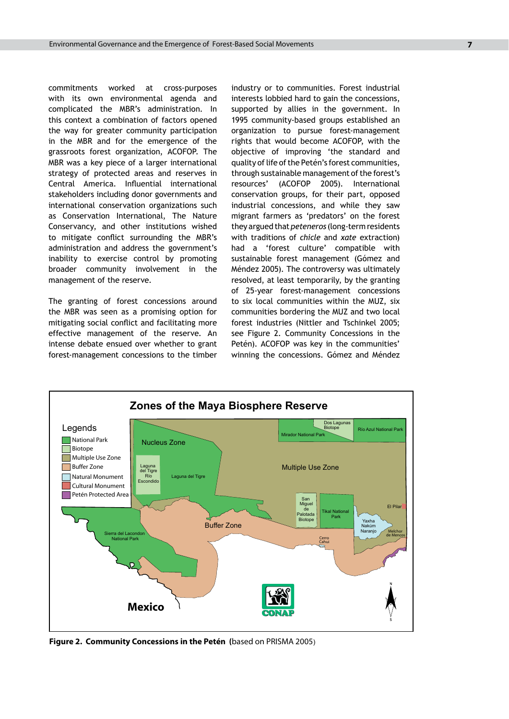commitments worked at cross-purposes with its own environmental agenda and complicated the MBR's administration. In this context a combination of factors opened the way for greater community participation in the MBR and for the emergence of the grassroots forest organization, ACOFOP. The MBR was a key piece of a larger international strategy of protected areas and reserves in Central America. Influential international stakeholders including donor governments and international conservation organizations such as Conservation International, The Nature Conservancy, and other institutions wished to mitigate conflict surrounding the MBR's administration and address the government's inability to exercise control by promoting broader community involvement in the management of the reserve.

The granting of forest concessions around the MBR was seen as a promising option for mitigating social conflict and facilitating more effective management of the reserve. An intense debate ensued over whether to grant forest-management concessions to the timber

industry or to communities. Forest industrial interests lobbied hard to gain the concessions, supported by allies in the government. In 1995 community-based groups established an organization to pursue forest-management rights that would become ACOFOP, with the objective of improving 'the standard and quality of life of the Petén's forest communities, through sustainable management of the forest's resources' (ACOFOP 2005). International conservation groups, for their part, opposed industrial concessions, and while they saw migrant farmers as 'predators' on the forest they argued that *peteneros* (long-term residents with traditions of *chicle* and *xate* extraction) had a 'forest culture' compatible with sustainable forest management (Gómez and Méndez 2005). The controversy was ultimately resolved, at least temporarily, by the granting of 25-year forest-management concessions to six local communities within the MUZ, six communities bordering the MUZ and two local forest industries (Nittler and Tschinkel 2005; see Figure 2. Community Concessions in the Petén). ACOFOP was key in the communities' winning the concessions. Gómez and Méndez



**Figure 2. Community Concessions in the Petén (**based on PRISMA 2005)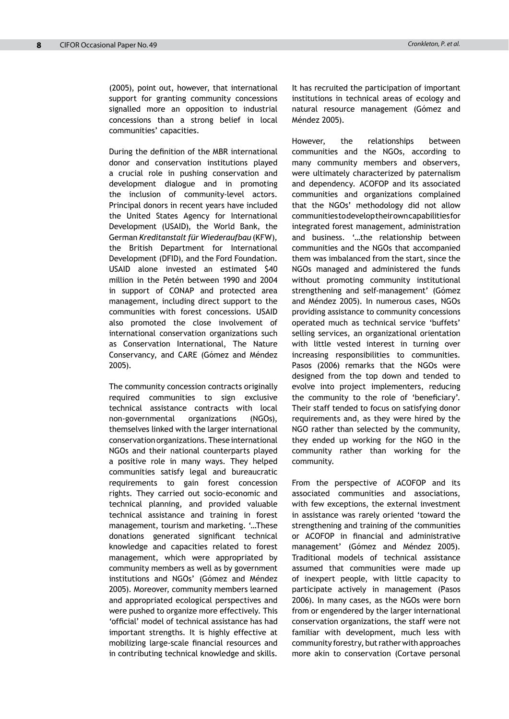(2005), point out, however, that international support for granting community concessions signalled more an opposition to industrial concessions than a strong belief in local communities' capacities.

During the definition of the MBR international donor and conservation institutions played a crucial role in pushing conservation and development dialogue and in promoting the inclusion of community-level actors. Principal donors in recent years have included the United States Agency for International Development (USAID), the World Bank, the German *Kreditanstalt für Wiederaufbau* (KFW), the British Department for International Development (DFID), and the Ford Foundation. USAID alone invested an estimated \$40 million in the Petén between 1990 and 2004 in support of CONAP and protected area management, including direct support to the communities with forest concessions. USAID also promoted the close involvement of international conservation organizations such as Conservation International, The Nature Conservancy, and CARE (Gómez and Méndez 2005).

The community concession contracts originally required communities to sign exclusive technical assistance contracts with local non-governmental organizations (NGOs), themselves linked with the larger international conservation organizations. These international NGOs and their national counterparts played a positive role in many ways. They helped communities satisfy legal and bureaucratic requirements to gain forest concession rights. They carried out socio-economic and technical planning, and provided valuable technical assistance and training in forest management, tourism and marketing. '…These donations generated significant technical knowledge and capacities related to forest management, which were appropriated by community members as well as by government institutions and NGOs' (Gómez and Méndez 2005). Moreover, community members learned and appropriated ecological perspectives and were pushed to organize more effectively. This 'official' model of technical assistance has had important strengths. It is highly effective at mobilizing large-scale financial resources and in contributing technical knowledge and skills.

It has recruited the participation of important institutions in technical areas of ecology and natural resource management (Gómez and Méndez 2005).

However, the relationships between communities and the NGOs, according to many community members and observers, were ultimately characterized by paternalism and dependency. ACOFOP and its associated communities and organizations complained that the NGOs' methodology did not allow communities to develop their own capabilities for integrated forest management, administration and business. '…the relationship between communities and the NGOs that accompanied them was imbalanced from the start, since the NGOs managed and administered the funds without promoting community institutional strengthening and self-management' (Gómez and Méndez 2005). In numerous cases, NGOs providing assistance to community concessions operated much as technical service 'buffets' selling services, an organizational orientation with little vested interest in turning over increasing responsibilities to communities. Pasos (2006) remarks that the NGOs were designed from the top down and tended to evolve into project implementers, reducing the community to the role of 'beneficiary'. Their staff tended to focus on satisfying donor requirements and, as they were hired by the NGO rather than selected by the community, they ended up working for the NGO in the community rather than working for the community.

From the perspective of ACOFOP and its associated communities and associations, with few exceptions, the external investment in assistance was rarely oriented 'toward the strengthening and training of the communities or ACOFOP in financial and administrative management' (Gómez and Méndez 2005). Traditional models of technical assistance assumed that communities were made up of inexpert people, with little capacity to participate actively in management (Pasos 2006). In many cases, as the NGOs were born from or engendered by the larger international conservation organizations, the staff were not familiar with development, much less with community forestry, but rather with approaches more akin to conservation (Cortave personal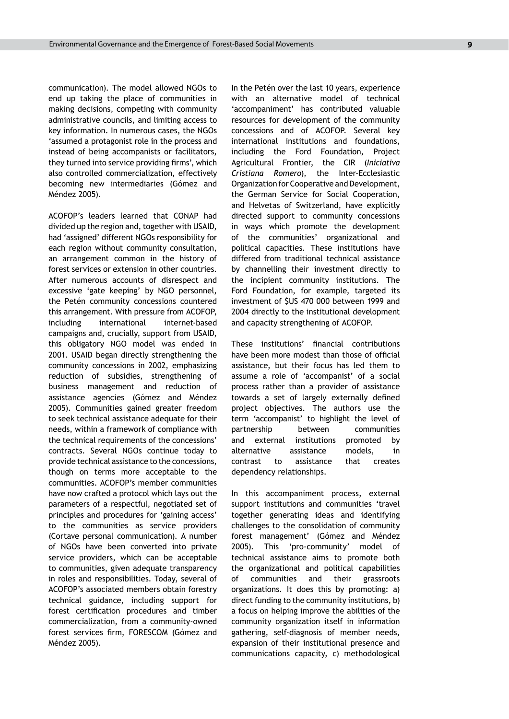communication). The model allowed NGOs to end up taking the place of communities in making decisions, competing with community administrative councils, and limiting access to key information. In numerous cases, the NGOs 'assumed a protagonist role in the process and instead of being accompanists or facilitators, they turned into service providing firms', which also controlled commercialization, effectively becoming new intermediaries (Gómez and Méndez 2005).

ACOFOP's leaders learned that CONAP had divided up the region and, together with USAID, had 'assigned' different NGOs responsibility for each region without community consultation, an arrangement common in the history of forest services or extension in other countries. After numerous accounts of disrespect and excessive 'gate keeping' by NGO personnel, the Petén community concessions countered this arrangement. With pressure from ACOFOP, including international internet-based campaigns and, crucially, support from USAID, this obligatory NGO model was ended in 2001. USAID began directly strengthening the community concessions in 2002, emphasizing reduction of subsidies, strengthening of business management and reduction of assistance agencies (Gómez and Méndez 2005). Communities gained greater freedom to seek technical assistance adequate for their needs, within a framework of compliance with the technical requirements of the concessions' contracts. Several NGOs continue today to provide technical assistance to the concessions, though on terms more acceptable to the communities. ACOFOP's member communities have now crafted a protocol which lays out the parameters of a respectful, negotiated set of principles and procedures for 'gaining access' to the communities as service providers (Cortave personal communication). A number of NGOs have been converted into private service providers, which can be acceptable to communities, given adequate transparency in roles and responsibilities. Today, several of ACOFOP's associated members obtain forestry technical guidance, including support for forest certification procedures and timber commercialization, from a community-owned forest services firm, FORESCOM (Gómez and Méndez 2005).

In the Petén over the last 10 years, experience with an alternative model of technical 'accompaniment' has contributed valuable resources for development of the community concessions and of ACOFOP. Several key international institutions and foundations, including the Ford Foundation, Project Agricultural Frontier, the CIR (*Iniciativa Cristiana Romero*), the Inter-Ecclesiastic Organization for Cooperative and Development, the German Service for Social Cooperation, and Helvetas of Switzerland, have explicitly directed support to community concessions in ways which promote the development of the communities' organizational and political capacities. These institutions have differed from traditional technical assistance by channelling their investment directly to the incipient community institutions. The Ford Foundation, for example, targeted its investment of \$US 470 000 between 1999 and 2004 directly to the institutional development and capacity strengthening of ACOFOP.

These institutions' financial contributions have been more modest than those of official assistance, but their focus has led them to assume a role of 'accompanist' of a social process rather than a provider of assistance towards a set of largely externally defined project objectives. The authors use the term 'accompanist' to highlight the level of partnership between communities and external institutions promoted by alternative assistance models, in contrast to assistance that creates dependency relationships.

In this accompaniment process, external support institutions and communities 'travel together generating ideas and identifying challenges to the consolidation of community forest management' (Gómez and Méndez 2005). This 'pro-community' model of technical assistance aims to promote both the organizational and political capabilities of communities and their grassroots organizations. It does this by promoting: a) direct funding to the community institutions, b) a focus on helping improve the abilities of the community organization itself in information gathering, self-diagnosis of member needs, expansion of their institutional presence and communications capacity, c) methodological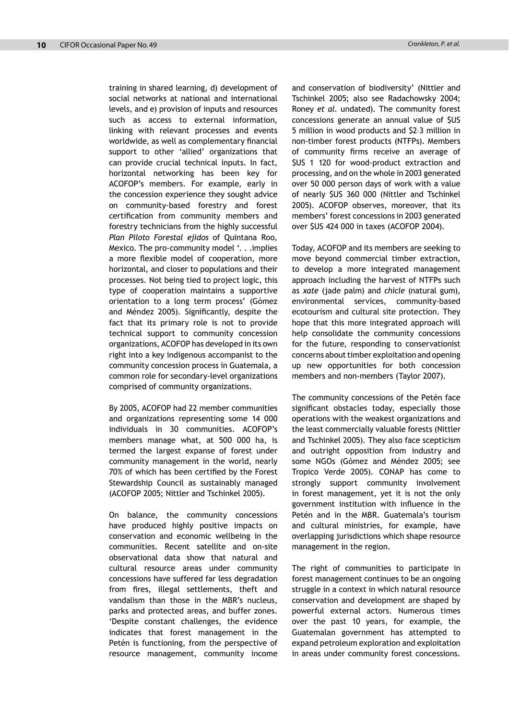training in shared learning, d) development of social networks at national and international levels, and e) provision of inputs and resources such as access to external information, linking with relevant processes and events worldwide, as well as complementary financial support to other 'allied' organizations that can provide crucial technical inputs. In fact, horizontal networking has been key for ACOFOP's members. For example, early in the concession experience they sought advice on community-based forestry and forest certification from community members and forestry technicians from the highly successful *Plan Piloto Forestal ejidos* of Quintana Roo, Mexico. The pro-community model '. . .implies a more flexible model of cooperation, more horizontal, and closer to populations and their processes. Not being tied to project logic, this type of cooperation maintains a supportive orientation to a long term process' (Gómez and Méndez 2005). Significantly, despite the fact that its primary role is not to provide technical support to community concession organizations, ACOFOP has developed in its own right into a key indigenous accompanist to the community concession process in Guatemala, a common role for secondary-level organizations comprised of community organizations.

By 2005, ACOFOP had 22 member communities and organizations representing some 14 000 individuals in 30 communities. ACOFOP's members manage what, at 500 000 ha, is termed the largest expanse of forest under community management in the world, nearly 70% of which has been certified by the Forest Stewardship Council as sustainably managed (ACOFOP 2005; Nittler and Tschinkel 2005).

On balance, the community concessions have produced highly positive impacts on conservation and economic wellbeing in the communities. Recent satellite and on-site observational data show that natural and cultural resource areas under community concessions have suffered far less degradation from fires, illegal settlements, theft and vandalism than those in the MBR's nucleus, parks and protected areas, and buffer zones. 'Despite constant challenges, the evidence indicates that forest management in the Petén is functioning, from the perspective of resource management, community income

and conservation of biodiversity' (Nittler and Tschinkel 2005; also see Radachowsky 2004; Roney *et al.* undated). The community forest concessions generate an annual value of \$US 5 million in wood products and \$2–3 million in non-timber forest products (NTFPs). Members of community firms receive an average of \$US 1 120 for wood-product extraction and processing, and on the whole in 2003 generated over 50 000 person days of work with a value of nearly \$US 360 000 (Nittler and Tschinkel 2005). ACOFOP observes, moreover, that its members' forest concessions in 2003 generated over \$US 424 000 in taxes (ACOFOP 2004).

Today, ACOFOP and its members are seeking to move beyond commercial timber extraction, to develop a more integrated management approach including the harvest of NTFPs such as *xate* (jade palm) and *chicle* (natural gum), environmental services, community-based ecotourism and cultural site protection. They hope that this more integrated approach will help consolidate the community concessions for the future, responding to conservationist concerns about timber exploitation and opening up new opportunities for both concession members and non-members (Taylor 2007).

The community concessions of the Petén face significant obstacles today, especially those operations with the weakest organizations and the least commercially valuable forests (Nittler and Tschinkel 2005). They also face scepticism and outright opposition from industry and some NGOs (Gómez and Méndez 2005; see Tropico Verde 2005). CONAP has come to strongly support community involvement in forest management, yet it is not the only government institution with influence in the Petén and in the MBR. Guatemala's tourism and cultural ministries, for example, have overlapping jurisdictions which shape resource management in the region.

The right of communities to participate in forest management continues to be an ongoing struggle in a context in which natural resource conservation and development are shaped by powerful external actors. Numerous times over the past 10 years, for example, the Guatemalan government has attempted to expand petroleum exploration and exploitation in areas under community forest concessions.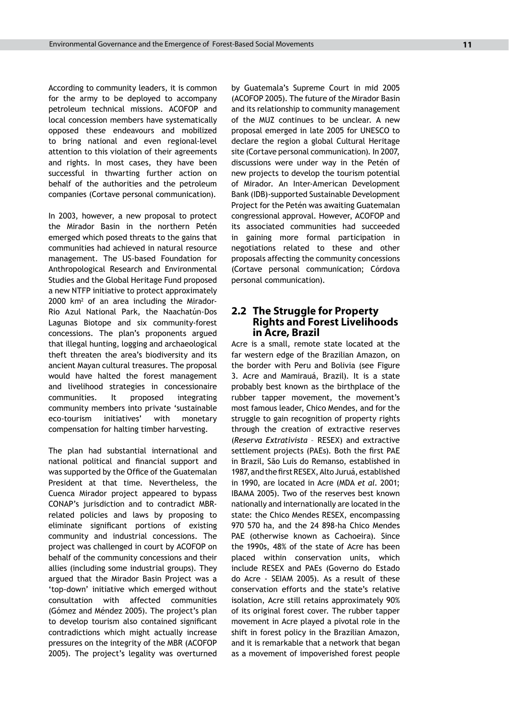According to community leaders, it is common for the army to be deployed to accompany petroleum technical missions. ACOFOP and local concession members have systematically opposed these endeavours and mobilized to bring national and even regional-level attention to this violation of their agreements and rights. In most cases, they have been successful in thwarting further action on behalf of the authorities and the petroleum companies (Cortave personal communication).

In 2003, however, a new proposal to protect the Mirador Basin in the northern Petén emerged which posed threats to the gains that communities had achieved in natural resource management. The US-based Foundation for Anthropological Research and Environmental Studies and the Global Heritage Fund proposed a new NTFP initiative to protect approximately 2000 km<sup>2</sup> of an area including the Mirador-Rio Azul National Park, the Naachatún-Dos Lagunas Biotope and six community-forest concessions. The plan's proponents argued that illegal hunting, logging and archaeological theft threaten the area's biodiversity and its ancient Mayan cultural treasures. The proposal would have halted the forest management and livelihood strategies in concessionaire communities. It proposed integrating community members into private 'sustainable eco-tourism initiatives' with monetary compensation for halting timber harvesting.

The plan had substantial international and national political and financial support and was supported by the Office of the Guatemalan President at that time. Nevertheless, the Cuenca Mirador project appeared to bypass CONAP's jurisdiction and to contradict MBRrelated policies and laws by proposing to eliminate significant portions of existing community and industrial concessions. The project was challenged in court by ACOFOP on behalf of the community concessions and their allies (including some industrial groups). They argued that the Mirador Basin Project was a 'top-down' initiative which emerged without consultation with affected communities (Gómez and Méndez 2005). The project's plan to develop tourism also contained significant contradictions which might actually increase pressures on the integrity of the MBR (ACOFOP 2005). The project's legality was overturned by Guatemala's Supreme Court in mid 2005 (ACOFOP 2005). The future of the Mirador Basin and its relationship to community management of the MUZ continues to be unclear. A new proposal emerged in late 2005 for UNESCO to declare the region a global Cultural Heritage site (Cortave personal communication)*.* In 2007, discussions were under way in the Petén of new projects to develop the tourism potential of Mirador. An Inter-American Development Bank (IDB)-supported Sustainable Development Project for the Petén was awaiting Guatemalan congressional approval. However, ACOFOP and its associated communities had succeeded in gaining more formal participation in negotiations related to these and other proposals affecting the community concessions (Cortave personal communication; Córdova personal communication).

#### **2.2 The Struggle for Property Rights and Forest Livelihoods in Acre, Brazil**

Acre is a small, remote state located at the far western edge of the Brazilian Amazon, on the border with Peru and Bolivia (see Figure 3. Acre and Mamirauá, Brazil). It is a state probably best known as the birthplace of the rubber tapper movement, the movement's most famous leader, Chico Mendes, and for the struggle to gain recognition of property rights through the creation of extractive reserves (*Reserva Extrativista* – RESEX) and extractive settlement projects (PAEs). Both the first PAE in Brazil, São Luis do Remanso, established in 1987, and the first RESEX, Alto Juruá, established in 1990, are located in Acre (MDA *et al*. 2001; IBAMA 2005). Two of the reserves best known nationally and internationally are located in the state: the Chico Mendes RESEX, encompassing 970 570 ha, and the 24 898-ha Chico Mendes PAE (otherwise known as Cachoeira). Since the 1990s, 48% of the state of Acre has been placed within conservation units, which include RESEX and PAEs (Governo do Estado do Acre - SEIAM 2005). As a result of these conservation efforts and the state's relative isolation, Acre still retains approximately 90% of its original forest cover. The rubber tapper movement in Acre played a pivotal role in the shift in forest policy in the Brazilian Amazon, and it is remarkable that a network that began as a movement of impoverished forest people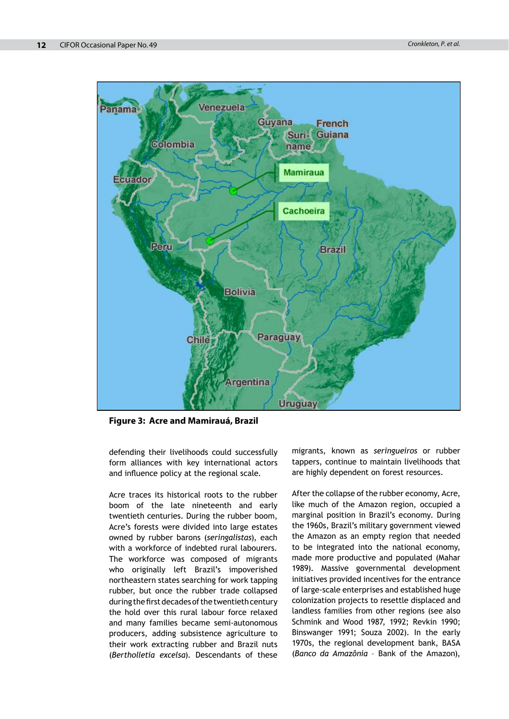

**Figure 3: Acre and Mamirauá, Brazil**

defending their livelihoods could successfully form alliances with key international actors and influence policy at the regional scale.

Acre traces its historical roots to the rubber boom of the late nineteenth and early twentieth centuries. During the rubber boom, Acre's forests were divided into large estates owned by rubber barons (*seringalistas*), each with a workforce of indebted rural labourers*.*  The workforce was composed of migrants who originally left Brazil's impoverished northeastern states searching for work tapping rubber, but once the rubber trade collapsed during the first decades of the twentieth century the hold over this rural labour force relaxed and many families became semi-autonomous producers, adding subsistence agriculture to their work extracting rubber and Brazil nuts (*Bertholletia excelsa*). Descendants of these

migrants, known as *seringueiros* or rubber tappers, continue to maintain livelihoods that are highly dependent on forest resources.

After the collapse of the rubber economy, Acre, like much of the Amazon region, occupied a marginal position in Brazil's economy. During the 1960s, Brazil's military government viewed the Amazon as an empty region that needed to be integrated into the national economy, made more productive and populated (Mahar 1989). Massive governmental development initiatives provided incentives for the entrance of large-scale enterprises and established huge colonization projects to resettle displaced and landless families from other regions (see also Schmink and Wood 1987, 1992; Revkin 1990; Binswanger 1991; Souza 2002). In the early 1970s, the regional development bank, BASA (*Banco da Amazônia* – Bank of the Amazon),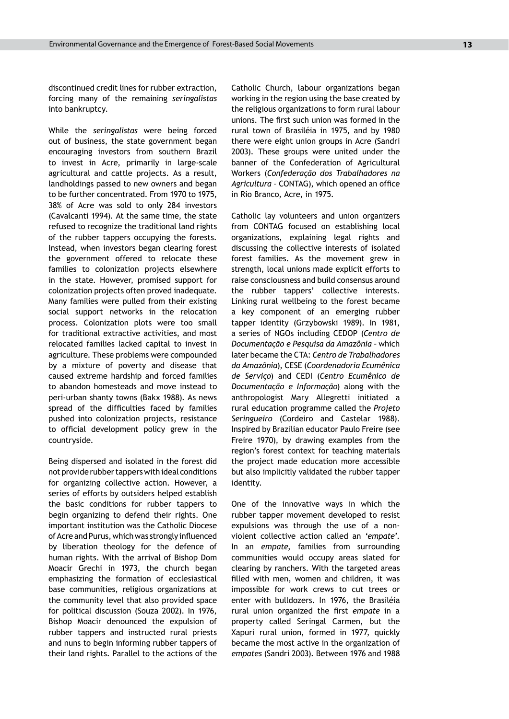discontinued credit lines for rubber extraction, forcing many of the remaining *seringalistas* into bankruptcy.

While the *seringalistas* were being forced out of business, the state government began encouraging investors from southern Brazil to invest in Acre, primarily in large-scale agricultural and cattle projects. As a result, landholdings passed to new owners and began to be further concentrated. From 1970 to 1975, 38% of Acre was sold to only 284 investors (Cavalcanti 1994). At the same time, the state refused to recognize the traditional land rights of the rubber tappers occupying the forests. Instead, when investors began clearing forest the government offered to relocate these families to colonization projects elsewhere in the state. However, promised support for colonization projects often proved inadequate. Many families were pulled from their existing social support networks in the relocation process. Colonization plots were too small for traditional extractive activities, and most relocated families lacked capital to invest in agriculture. These problems were compounded by a mixture of poverty and disease that caused extreme hardship and forced families to abandon homesteads and move instead to peri-urban shanty towns (Bakx 1988). As news spread of the difficulties faced by families pushed into colonization projects, resistance to official development policy grew in the countryside.

Being dispersed and isolated in the forest did not provide rubber tappers with ideal conditions for organizing collective action. However, a series of efforts by outsiders helped establish the basic conditions for rubber tappers to begin organizing to defend their rights. One important institution was the Catholic Diocese of Acre and Purus, which was strongly influenced by liberation theology for the defence of human rights. With the arrival of Bishop Dom Moacir Grechi in 1973, the church began emphasizing the formation of ecclesiastical base communities, religious organizations at the community level that also provided space for political discussion (Souza 2002). In 1976, Bishop Moacir denounced the expulsion of rubber tappers and instructed rural priests and nuns to begin informing rubber tappers of their land rights. Parallel to the actions of the Catholic Church, labour organizations began working in the region using the base created by the religious organizations to form rural labour unions. The first such union was formed in the rural town of Brasiléia in 1975, and by 1980 there were eight union groups in Acre (Sandri 2003). These groups were united under the banner of the Confederation of Agricultural Workers (*Confederação dos Trabalhadores na Agricultura* – CONTAG), which opened an office in Rio Branco, Acre, in 1975.

Catholic lay volunteers and union organizers from CONTAG focused on establishing local organizations, explaining legal rights and discussing the collective interests of isolated forest families. As the movement grew in strength, local unions made explicit efforts to raise consciousness and build consensus around the rubber tappers' collective interests. Linking rural wellbeing to the forest became a key component of an emerging rubber tapper identity (Grzybowski 1989). In 1981, a series of NGOs including CEDOP (*Centro de Documentação e Pesquisa da Amazônia –* which later became the CTA: *Centro de Trabalhadores da Amazônia*), CESE (*Coordenadoria Ecumênica de Serviço*) and CEDI (*Centro Ecumênico de Documentação e Informação*) along with the anthropologist Mary Allegretti initiated a rural education programme called the *Projeto Seringueiro* (Cordeiro and Castelar 1988). Inspired by Brazilian educator Paulo Freire (see Freire 1970), by drawing examples from the region's forest context for teaching materials the project made education more accessible but also implicitly validated the rubber tapper identity.

One of the innovative ways in which the rubber tapper movement developed to resist expulsions was through the use of a nonviolent collective action called an '*empate*'. In an *empate*, families from surrounding communities would occupy areas slated for clearing by ranchers. With the targeted areas filled with men, women and children, it was impossible for work crews to cut trees or enter with bulldozers. In 1976, the Brasiléia rural union organized the first *empate* in a property called Seringal Carmen, but the Xapuri rural union, formed in 1977, quickly became the most active in the organization of *empates* (Sandri 2003). Between 1976 and 1988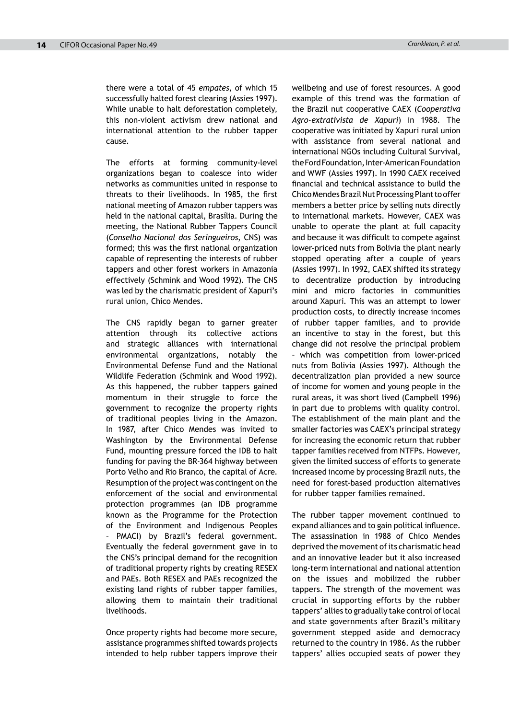there were a total of 45 *empates*, of which 15 successfully halted forest clearing (Assies 1997). While unable to halt deforestation completely, this non-violent activism drew national and international attention to the rubber tapper cause.

The efforts at forming community-level organizations began to coalesce into wider networks as communities united in response to threats to their livelihoods. In 1985, the first national meeting of Amazon rubber tappers was held in the national capital, Brasília. During the meeting, the National Rubber Tappers Council (*Conselho Nacional dos Seringueiros*, CNS) was formed; this was the first national organization capable of representing the interests of rubber tappers and other forest workers in Amazonia effectively (Schmink and Wood 1992). The CNS was led by the charismatic president of Xapuri's rural union, Chico Mendes.

The CNS rapidly began to garner greater attention through its collective actions and strategic alliances with international environmental organizations, notably the Environmental Defense Fund and the National Wildlife Federation (Schmink and Wood 1992). As this happened, the rubber tappers gained momentum in their struggle to force the government to recognize the property rights of traditional peoples living in the Amazon. In 1987, after Chico Mendes was invited to Washington by the Environmental Defense Fund, mounting pressure forced the IDB to halt funding for paving the BR-364 highway between Porto Velho and Rio Branco, the capital of Acre. Resumption of the project was contingent on the enforcement of the social and environmental protection programmes (an IDB programme known as the Programme for the Protection of the Environment and Indigenous Peoples PMACI) by Brazil's federal government. Eventually the federal government gave in to the CNS's principal demand for the recognition of traditional property rights by creating RESEX and PAEs. Both RESEX and PAEs recognized the existing land rights of rubber tapper families, allowing them to maintain their traditional livelihoods.

Once property rights had become more secure, assistance programmes shifted towards projects intended to help rubber tappers improve their wellbeing and use of forest resources. A good example of this trend was the formation of the Brazil nut cooperative CAEX (*Cooperativa Agro-extrativista de Xapuri*) in 1988. The cooperative was initiated by Xapuri rural union with assistance from several national and international NGOs including Cultural Survival, the Ford Foundation, Inter-American Foundation and WWF (Assies 1997). In 1990 CAEX received financial and technical assistance to build the Chico Mendes Brazil Nut Processing Plant to offer members a better price by selling nuts directly to international markets. However, CAEX was unable to operate the plant at full capacity and because it was difficult to compete against lower-priced nuts from Bolivia the plant nearly stopped operating after a couple of years (Assies 1997). In 1992, CAEX shifted its strategy to decentralize production by introducing mini and micro factories in communities around Xapuri. This was an attempt to lower production costs, to directly increase incomes of rubber tapper families, and to provide an incentive to stay in the forest, but this change did not resolve the principal problem – which was competition from lower-priced nuts from Bolivia (Assies 1997). Although the decentralization plan provided a new source of income for women and young people in the rural areas, it was short lived (Campbell 1996) in part due to problems with quality control. The establishment of the main plant and the smaller factories was CAEX's principal strategy for increasing the economic return that rubber tapper families received from NTFPs. However, given the limited success of efforts to generate increased income by processing Brazil nuts, the need for forest-based production alternatives for rubber tapper families remained.

The rubber tapper movement continued to expand alliances and to gain political influence. The assassination in 1988 of Chico Mendes deprived the movement of its charismatic head and an innovative leader but it also increased long-term international and national attention on the issues and mobilized the rubber tappers. The strength of the movement was crucial in supporting efforts by the rubber tappers' allies to gradually take control of local and state governments after Brazil's military government stepped aside and democracy returned to the country in 1986. As the rubber tappers' allies occupied seats of power they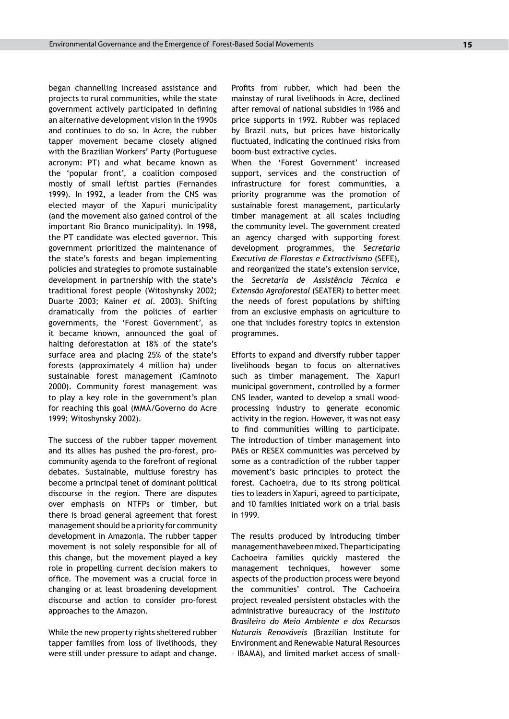began channelling increased assistance and projects to rural communities, while the state government actively participated in defining an alternative development vision in the 1990s and continues to do so*.* In Acre, the rubber tapper movement became closely aligned with the Brazilian Workers' Party (Portuguese acronym: PT) and what became known as the 'popular front', a coalition composed mostly of small leftist parties (Fernandes 1999). In 1992, a leader from the CNS was elected mayor of the Xapuri municipality (and the movement also gained control of the important Rio Branco municipality). In 1998, the PT candidate was elected governor. This government prioritized the maintenance of the state's forests and began implementing policies and strategies to promote sustainable development in partnership with the state's traditional forest people (Witoshynsky 2002; Duarte 2003; Kainer *et al.* 2003). Shifting dramatically from the policies of earlier governments, the 'Forest Government', as it became known, announced the goal of halting deforestation at 18% of the state's surface area and placing 25% of the state's forests (approximately 4 million ha) under sustainable forest management (Caminoto 2000). Community forest management was to play a key role in the government's plan for reaching this goal (MMA/Governo do Acre 1999; Witoshynsky 2002).

The success of the rubber tapper movement and its allies has pushed the pro-forest, procommunity agenda to the forefront of regional debates. Sustainable, multiuse forestry has become a principal tenet of dominant political discourse in the region. There are disputes over emphasis on NTFPs or timber, but there is broad general agreement that forest management should be a priority for community development in Amazonia. The rubber tapper movement is not solely responsible for all of this change, but the movement played a key role in propelling current decision makers to office. The movement was a crucial force in changing or at least broadening development discourse and action to consider pro-forest approaches to the Amazon.

While the new property rights sheltered rubber tapper families from loss of livelihoods, they were still under pressure to adapt and change. Profits from rubber, which had been the mainstay of rural livelihoods in Acre, declined after removal of national subsidies in 1986 and price supports in 1992. Rubber was replaced by Brazil nuts, but prices have historically fluctuated, indicating the continued risks from boom–bust extractive cycles.

When the 'Forest Government' increased support, services and the construction of infrastructure for forest communities, a priority programme was the promotion of sustainable forest management, particularly timber management at all scales including the community level. The government created an agency charged with supporting forest development programmes, the *Secretaria Executiva de Florestas e Extractivismo* (SEFE), and reorganized the state's extension service, the *Secretaria de Assistência Técnica e Extensão Agroforestal* (SEATER) to better meet the needs of forest populations by shifting from an exclusive emphasis on agriculture to one that includes forestry topics in extension programmes.

Efforts to expand and diversify rubber tapper livelihoods began to focus on alternatives such as timber management. The Xapuri municipal government, controlled by a former CNS leader, wanted to develop a small woodprocessing industry to generate economic activity in the region. However, it was not easy to find communities willing to participate. The introduction of timber management into PAEs or RESEX communities was perceived by some as a contradiction of the rubber tapper movement's basic principles to protect the forest. Cachoeira, due to its strong political ties to leaders in Xapuri, agreed to participate, and 10 families initiated work on a trial basis in 1999.

The results produced by introducing timber management have been mixed. The participating Cachoeira families quickly mastered the management techniques, however some aspects of the production process were beyond the communities' control. The Cachoeira project revealed persistent obstacles with the administrative bureaucracy of the *Instituto Brasileiro do Meio Ambiente e dos Recursos Naturais Renováveis* (Brazilian Institute for Environment and Renewable Natural Resources – IBAMA), and limited market access of small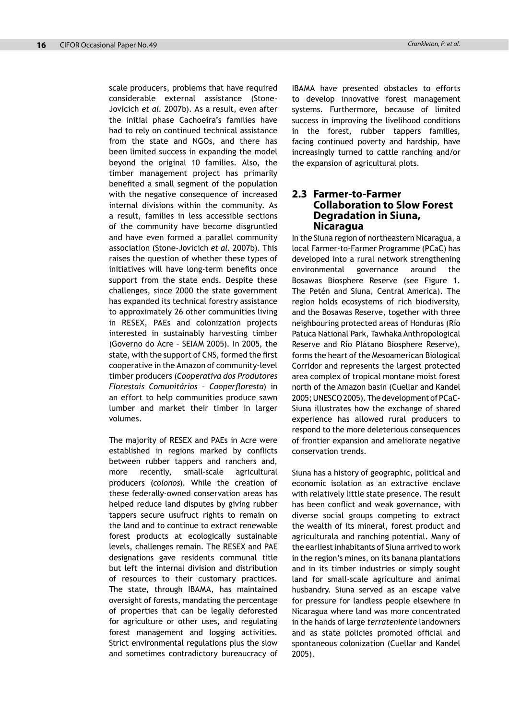scale producers, problems that have required considerable external assistance (Stone-Jovicich *et al.* 2007b). As a result, even after the initial phase Cachoeira's families have had to rely on continued technical assistance from the state and NGOs, and there has been limited success in expanding the model beyond the original 10 families. Also, the timber management project has primarily benefited a small segment of the population with the negative consequence of increased internal divisions within the community. As a result, families in less accessible sections of the community have become disgruntled and have even formed a parallel community association (Stone-Jovicich *et al.* 2007b). This raises the question of whether these types of initiatives will have long-term benefits once support from the state ends. Despite these challenges, since 2000 the state government has expanded its technical forestry assistance to approximately 26 other communities living in RESEX, PAEs and colonization projects interested in sustainably harvesting timber (Governo do Acre – SEIAM 2005). In 2005, the state, with the support of CNS, formed the first cooperative in the Amazon of community-level timber producers (*Cooperativa dos Produtores Florestais Comunitários – Cooperfloresta*) in an effort to help communities produce sawn lumber and market their timber in larger volumes.

The majority of RESEX and PAEs in Acre were established in regions marked by conflicts between rubber tappers and ranchers and, more recently, small-scale agricultural producers (*colonos*). While the creation of these federally-owned conservation areas has helped reduce land disputes by giving rubber tappers secure usufruct rights to remain on the land and to continue to extract renewable forest products at ecologically sustainable levels, challenges remain. The RESEX and PAE designations gave residents communal title but left the internal division and distribution of resources to their customary practices. The state, through IBAMA, has maintained oversight of forests, mandating the percentage of properties that can be legally deforested for agriculture or other uses, and regulating forest management and logging activities. Strict environmental regulations plus the slow and sometimes contradictory bureaucracy of IBAMA have presented obstacles to efforts to develop innovative forest management systems. Furthermore, because of limited success in improving the livelihood conditions in the forest, rubber tappers families, facing continued poverty and hardship, have increasingly turned to cattle ranching and/or the expansion of agricultural plots.

#### **2.3 Farmer-to-Farmer Collaboration to Slow Forest Degradation in Siuna, Nicaragua**

In the Siuna region of northeastern Nicaragua, a local Farmer-to-Farmer Programme (PCaC) has developed into a rural network strengthening environmental governance around the Bosawas Biosphere Reserve (see Figure 1. The Petén and Siuna, Central America). The region holds ecosystems of rich biodiversity, and the Bosawas Reserve, together with three neighbouring protected areas of Honduras (Río Patuca National Park, Tawhaka Anthropological Reserve and Río Plátano Biosphere Reserve), forms the heart of the Mesoamerican Biological Corridor and represents the largest protected area complex of tropical montane moist forest north of the Amazon basin (Cuellar and Kandel 2005; UNESCO 2005). The development of PCaC-Siuna illustrates how the exchange of shared experience has allowed rural producers to respond to the more deleterious consequences of frontier expansion and ameliorate negative conservation trends.

Siuna has a history of geographic, political and economic isolation as an extractive enclave with relatively little state presence. The result has been conflict and weak governance, with diverse social groups competing to extract the wealth of its mineral, forest product and agriculturala and ranching potential. Many of the earliest inhabitants of Siuna arrived to work in the region's mines, on its banana plantations and in its timber industries or simply sought land for small-scale agriculture and animal husbandry. Siuna served as an escape valve for pressure for landless people elsewhere in Nicaragua where land was more concentrated in the hands of large *terrateniente* landowners and as state policies promoted official and spontaneous colonization (Cuellar and Kandel 2005).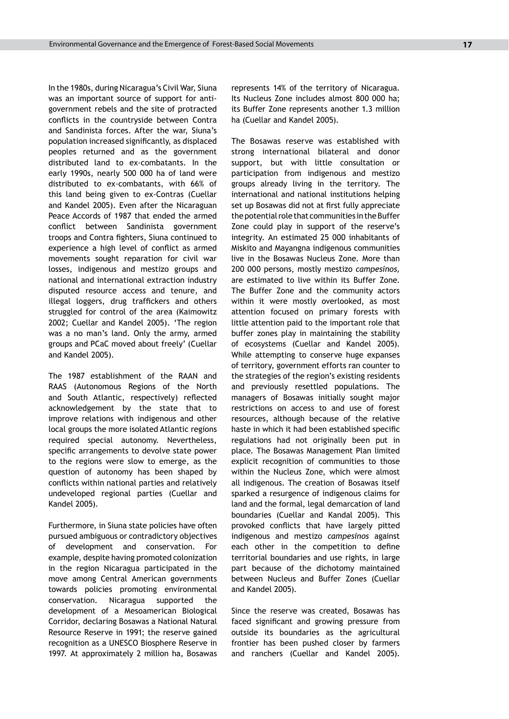In the 1980s, during Nicaragua's Civil War, Siuna was an important source of support for antigovernment rebels and the site of protracted conflicts in the countryside between Contra and Sandinista forces. After the war, Siuna's population increased significantly, as displaced peoples returned and as the government distributed land to ex-combatants. In the early 1990s, nearly 500 000 ha of land were distributed to ex-combatants, with 66% of this land being given to ex-Contras (Cuellar and Kandel 2005). Even after the Nicaraguan Peace Accords of 1987 that ended the armed conflict between Sandinista government troops and Contra fighters, Siuna continued to experience a high level of conflict as armed movements sought reparation for civil war losses, indigenous and mestizo groups and national and international extraction industry disputed resource access and tenure, and illegal loggers, drug traffickers and others struggled for control of the area (Kaimowitz 2002; Cuellar and Kandel 2005). 'The region was a no man's land. Only the army, armed groups and PCaC moved about freely' (Cuellar and Kandel 2005).

The 1987 establishment of the RAAN and RAAS (Autonomous Regions of the North and South Atlantic, respectively) reflected acknowledgement by the state that to improve relations with indigenous and other local groups the more isolated Atlantic regions required special autonomy. Nevertheless, specific arrangements to devolve state power to the regions were slow to emerge, as the question of autonomy has been shaped by conflicts within national parties and relatively undeveloped regional parties (Cuellar and Kandel 2005).

Furthermore, in Siuna state policies have often pursued ambiguous or contradictory objectives of development and conservation. For example, despite having promoted colonization in the region Nicaragua participated in the move among Central American governments towards policies promoting environmental conservation. Nicaragua supported the development of a Mesoamerican Biological Corridor, declaring Bosawas a National Natural Resource Reserve in 1991; the reserve gained recognition as a UNESCO Biosphere Reserve in 1997. At approximately 2 million ha, Bosawas represents 14% of the territory of Nicaragua. Its Nucleus Zone includes almost 800 000 ha; its Buffer Zone represents another 1.3 million ha (Cuellar and Kandel 2005).

The Bosawas reserve was established with strong international bilateral and donor support, but with little consultation or participation from indigenous and mestizo groups already living in the territory. The international and national institutions helping set up Bosawas did not at first fully appreciate the potential role that communities in the Buffer Zone could play in support of the reserve's integrity. An estimated 25 000 inhabitants of Miskito and Mayangna indigenous communities live in the Bosawas Nucleus Zone. More than 200 000 persons, mostly mestizo *campesinos,* are estimated to live within its Buffer Zone. The Buffer Zone and the community actors within it were mostly overlooked, as most attention focused on primary forests with little attention paid to the important role that buffer zones play in maintaining the stability of ecosystems (Cuellar and Kandel 2005). While attempting to conserve huge expanses of territory, government efforts ran counter to the strategies of the region's existing residents and previously resettled populations. The managers of Bosawas initially sought major restrictions on access to and use of forest resources, although because of the relative haste in which it had been established specific regulations had not originally been put in place. The Bosawas Management Plan limited explicit recognition of communities to those within the Nucleus Zone, which were almost all indigenous. The creation of Bosawas itself sparked a resurgence of indigenous claims for land and the formal, legal demarcation of land boundaries (Cuellar and Kandal 2005). This provoked conflicts that have largely pitted indigenous and mestizo *campesinos* against each other in the competition to define territorial boundaries and use rights, in large part because of the dichotomy maintained between Nucleus and Buffer Zones (Cuellar and Kandel 2005).

Since the reserve was created, Bosawas has faced significant and growing pressure from outside its boundaries as the agricultural frontier has been pushed closer by farmers and ranchers (Cuellar and Kandel 2005).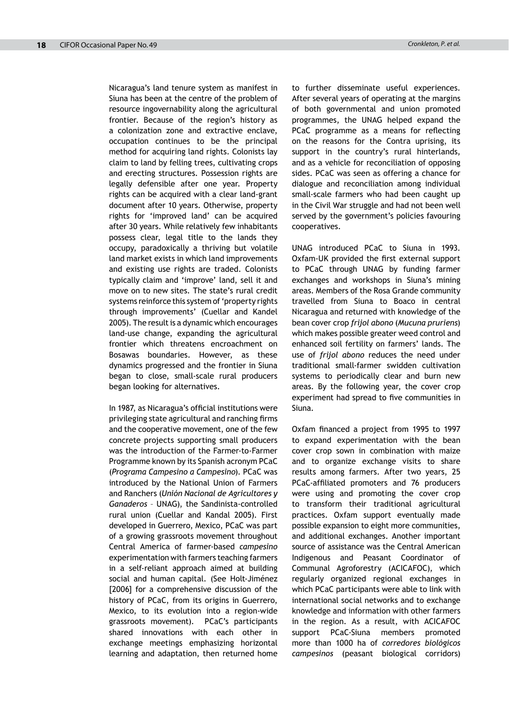Nicaragua's land tenure system as manifest in Siuna has been at the centre of the problem of resource ingovernability along the agricultural frontier. Because of the region's history as a colonization zone and extractive enclave, occupation continues to be the principal method for acquiring land rights. Colonists lay claim to land by felling trees, cultivating crops and erecting structures. Possession rights are legally defensible after one year. Property rights can be acquired with a clear land-grant document after 10 years. Otherwise, property rights for 'improved land' can be acquired after 30 years. While relatively few inhabitants possess clear, legal title to the lands they occupy, paradoxically a thriving but volatile land market exists in which land improvements and existing use rights are traded. Colonists typically claim and 'improve' land, sell it and move on to new sites. The state's rural credit systems reinforce this system of 'property rights through improvements' (Cuellar and Kandel 2005). The result is a dynamic which encourages land-use change, expanding the agricultural frontier which threatens encroachment on Bosawas boundaries. However, as these dynamics progressed and the frontier in Siuna began to close, small-scale rural producers began looking for alternatives.

In 1987, as Nicaragua's official institutions were privileging state agricultural and ranching firms and the cooperative movement, one of the few concrete projects supporting small producers was the introduction of the Farmer-to-Farmer Programme known by its Spanish acronym PCaC (*Programa Campesino a Campesino*). PCaC was introduced by the National Union of Farmers and Ranchers (*Unión Nacional de Agricultores y Ganaderos* – UNAG), the Sandinista-controlled rural union (Cuellar and Kandal 2005). First developed in Guerrero, Mexico, PCaC was part of a growing grassroots movement throughout Central America of farmer-based *campesino* experimentation with farmers teaching farmers in a self-reliant approach aimed at building social and human capital. (See Holt-Jiménez [2006] for a comprehensive discussion of the history of PCaC, from its origins in Guerrero, Mexico, to its evolution into a region-wide grassroots movement). PCaC's participants shared innovations with each other in exchange meetings emphasizing horizontal learning and adaptation, then returned home

to further disseminate useful experiences. After several years of operating at the margins of both governmental and union promoted programmes, the UNAG helped expand the PCaC programme as a means for reflecting on the reasons for the Contra uprising, its support in the country's rural hinterlands, and as a vehicle for reconciliation of opposing sides. PCaC was seen as offering a chance for dialogue and reconciliation among individual small-scale farmers who had been caught up in the Civil War struggle and had not been well served by the government's policies favouring cooperatives.

UNAG introduced PCaC to Siuna in 1993. Oxfam-UK provided the first external support to PCaC through UNAG by funding farmer exchanges and workshops in Siuna's mining areas. Members of the Rosa Grande community travelled from Siuna to Boaco in central Nicaragua and returned with knowledge of the bean cover crop *frijol abono* (*Mucuna pruriens*) which makes possible greater weed control and enhanced soil fertility on farmers' lands. The use of *frijol abono* reduces the need under traditional small-farmer swidden cultivation systems to periodically clear and burn new areas. By the following year, the cover crop experiment had spread to five communities in Siuna.

Oxfam financed a project from 1995 to 1997 to expand experimentation with the bean cover crop sown in combination with maize and to organize exchange visits to share results among farmers. After two years, 25 PCaC-affiliated promoters and 76 producers were using and promoting the cover crop to transform their traditional agricultural practices. Oxfam support eventually made possible expansion to eight more communities, and additional exchanges. Another important source of assistance was the Central American Indigenous and Peasant Coordinator of Communal Agroforestry (ACICAFOC), which regularly organized regional exchanges in which PCaC participants were able to link with international social networks and to exchange knowledge and information with other farmers in the region. As a result, with ACICAFOC support PCaC-Siuna members promoted more than 1000 ha of *corredores biológicos campesinos* (peasant biological corridors)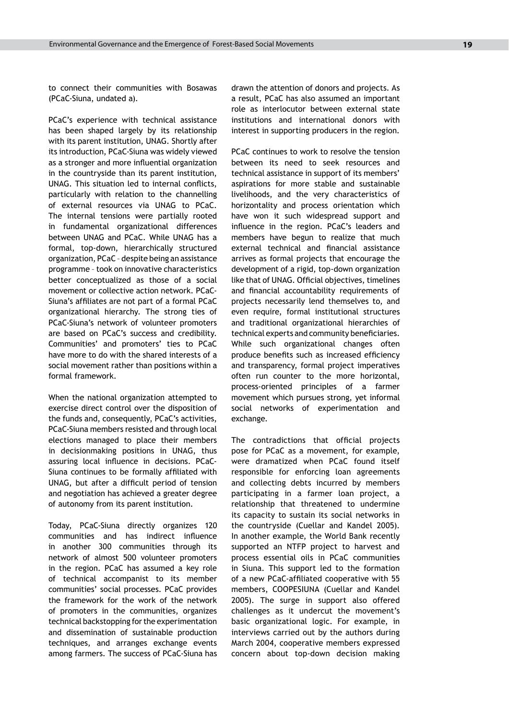to connect their communities with Bosawas (PCaC-Siuna, undated a).

PCaC's experience with technical assistance has been shaped largely by its relationship with its parent institution, UNAG. Shortly after its introduction, PCaC-Siuna was widely viewed as a stronger and more influential organization in the countryside than its parent institution, UNAG. This situation led to internal conflicts, particularly with relation to the channelling of external resources via UNAG to PCaC. The internal tensions were partially rooted in fundamental organizational differences between UNAG and PCaC. While UNAG has a formal, top-down, hierarchically structured organization, PCaC – despite being an assistance programme – took on innovative characteristics better conceptualized as those of a social movement or collective action network. PCaC-Siuna's affiliates are not part of a formal PCaC organizational hierarchy. The strong ties of PCaC-Siuna's network of volunteer promoters are based on PCaC's success and credibility. Communities' and promoters' ties to PCaC have more to do with the shared interests of a social movement rather than positions within a formal framework.

When the national organization attempted to exercise direct control over the disposition of the funds and, consequently, PCaC's activities, PCaC-Siuna members resisted and through local elections managed to place their members in decisionmaking positions in UNAG, thus assuring local influence in decisions. PCaC-Siuna continues to be formally affiliated with UNAG, but after a difficult period of tension and negotiation has achieved a greater degree of autonomy from its parent institution.

Today, PCaC-Siuna directly organizes 120 communities and has indirect influence in another 300 communities through its network of almost 500 volunteer promoters in the region. PCaC has assumed a key role of technical accompanist to its member communities' social processes. PCaC provides the framework for the work of the network of promoters in the communities, organizes technical backstopping for the experimentation and dissemination of sustainable production techniques, and arranges exchange events among farmers. The success of PCaC-Siuna has

drawn the attention of donors and projects. As a result, PCaC has also assumed an important role as interlocutor between external state institutions and international donors with interest in supporting producers in the region.

PCaC continues to work to resolve the tension between its need to seek resources and technical assistance in support of its members' aspirations for more stable and sustainable livelihoods, and the very characteristics of horizontality and process orientation which have won it such widespread support and influence in the region. PCaC's leaders and members have begun to realize that much external technical and financial assistance arrives as formal projects that encourage the development of a rigid, top-down organization like that of UNAG. Official objectives, timelines and financial accountability requirements of projects necessarily lend themselves to, and even require, formal institutional structures and traditional organizational hierarchies of technical experts and community beneficiaries. While such organizational changes often produce benefits such as increased efficiency and transparency, formal project imperatives often run counter to the more horizontal, process-oriented principles of a farmer movement which pursues strong, yet informal social networks of experimentation and exchange.

The contradictions that official projects pose for PCaC as a movement, for example, were dramatized when PCaC found itself responsible for enforcing loan agreements and collecting debts incurred by members participating in a farmer loan project, a relationship that threatened to undermine its capacity to sustain its social networks in the countryside (Cuellar and Kandel 2005). In another example, the World Bank recently supported an NTFP project to harvest and process essential oils in PCaC communities in Siuna. This support led to the formation of a new PCaC-affiliated cooperative with 55 members, COOPESIUNA (Cuellar and Kandel 2005). The surge in support also offered challenges as it undercut the movement's basic organizational logic. For example, in interviews carried out by the authors during March 2004, cooperative members expressed concern about top-down decision making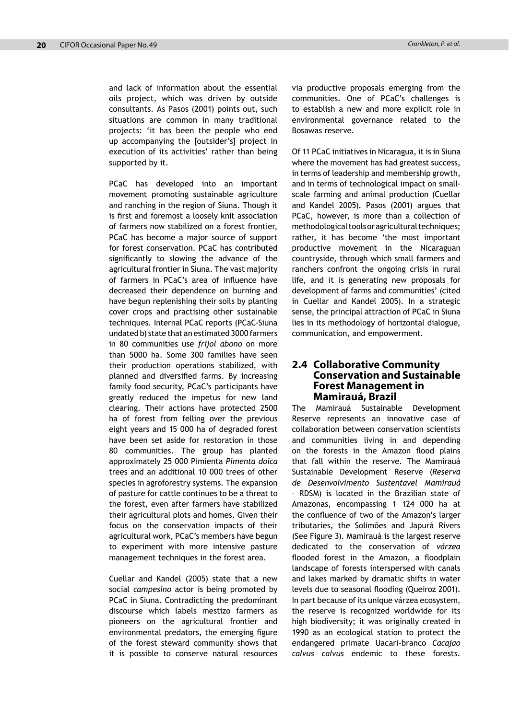and lack of information about the essential oils project, which was driven by outside consultants. As Pasos (2001) points out, such situations are common in many traditional projects: 'it has been the people who end up accompanying the [outsider's] project in execution of its activities' rather than being supported by it.

PCaC has developed into an important movement promoting sustainable agriculture and ranching in the region of Siuna. Though it is first and foremost a loosely knit association of farmers now stabilized on a forest frontier, PCaC has become a major source of support for forest conservation. PCaC has contributed significantly to slowing the advance of the agricultural frontier in Siuna. The vast majority of farmers in PCaC's area of influence have decreased their dependence on burning and have begun replenishing their soils by planting cover crops and practising other sustainable techniques*.* Internal PCaC reports (PCaC-Siuna undated b) state that an estimated 3000 farmers in 80 communities use *frijol abono* on more than 5000 ha. Some 300 families have seen their production operations stabilized, with planned and diversified farms. By increasing family food security, PCaC's participants have greatly reduced the impetus for new land clearing. Their actions have protected 2500 ha of forest from felling over the previous eight years and 15 000 ha of degraded forest have been set aside for restoration in those 80 communities. The group has planted approximately 25 000 Pimienta *Pimenta doica* trees and an additional 10 000 trees of other species in agroforestry systems. The expansion of pasture for cattle continues to be a threat to the forest, even after farmers have stabilized their agricultural plots and homes. Given their focus on the conservation impacts of their agricultural work, PCaC's members have begun to experiment with more intensive pasture management techniques in the forest area.

Cuellar and Kandel (2005) state that a new social *campesino* actor is being promoted by PCaC in Siuna. Contradicting the predominant discourse which labels mestizo farmers as pioneers on the agricultural frontier and environmental predators, the emerging figure of the forest steward community shows that it is possible to conserve natural resources via productive proposals emerging from the communities. One of PCaC's challenges is to establish a new and more explicit role in environmental governance related to the Bosawas reserve.

Of 11 PCaC initiatives in Nicaragua, it is in Siuna where the movement has had greatest success, in terms of leadership and membership growth, and in terms of technological impact on smallscale farming and animal production (Cuellar and Kandel 2005). Pasos (2001) argues that PCaC, however, is more than a collection of methodological tools or agricultural techniques; rather, it has become 'the most important productive movement in the Nicaraguan countryside, through which small farmers and ranchers confront the ongoing crisis in rural life, and it is generating new proposals for development of farms and communities' (cited in Cuellar and Kandel 2005). In a strategic sense, the principal attraction of PCaC in Siuna lies in its methodology of horizontal dialogue, communication, and empowerment.

#### **2.4 Collaborative Community Conservation and Sustainable Forest Management in Mamirauá, Brazil**

The Mamirauá Sustainable Development Reserve represents an innovative case of collaboration between conservation scientists and communities living in and depending on the forests in the Amazon flood plains that fall within the reserve. The Mamirauá Sustainable Development Reserve (*Reserva de Desenvolvimento Sustentavel Mamirauá*  – RDSM) is located in the Brazilian state of Amazonas, encompassing 1 124 000 ha at the confluence of two of the Amazon's larger tributaries, the Solimões and Japurá Rivers (See Figure 3). Mamirauá is the largest reserve dedicated to the conservation of *várzea*  flooded forest in the Amazon, a floodplain landscape of forests interspersed with canals and lakes marked by dramatic shifts in water levels due to seasonal flooding (Queiroz 2001). In part because of its unique várzea ecosystem, the reserve is recognized worldwide for its high biodiversity; it was originally created in 1990 as an ecological station to protect the endangered primate Uacari-branco *Cacajao calvus calvus* endemic to these forests.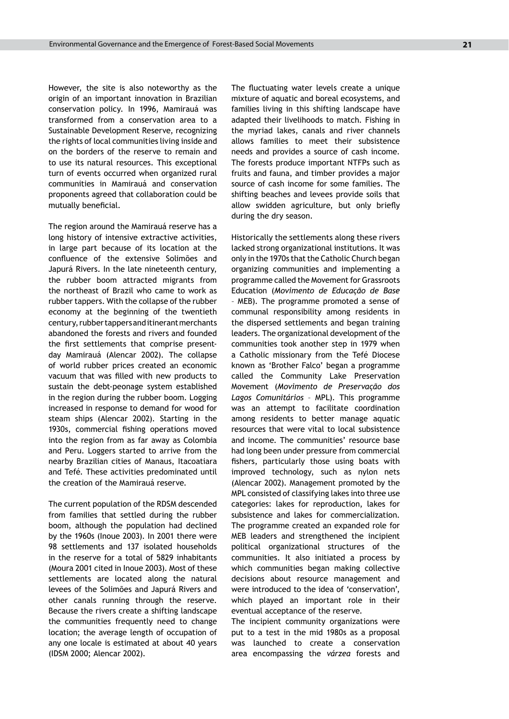However, the site is also noteworthy as the origin of an important innovation in Brazilian conservation policy. In 1996, Mamirauá was transformed from a conservation area to a Sustainable Development Reserve, recognizing the rights of local communities living inside and on the borders of the reserve to remain and to use its natural resources. This exceptional turn of events occurred when organized rural communities in Mamirauá and conservation proponents agreed that collaboration could be mutually beneficial.

The region around the Mamirauá reserve has a long history of intensive extractive activities, in large part because of its location at the confluence of the extensive Solimões and Japurá Rivers. In the late nineteenth century, the rubber boom attracted migrants from the northeast of Brazil who came to work as rubber tappers. With the collapse of the rubber economy at the beginning of the twentieth century, rubber tappers and itinerant merchants abandoned the forests and rivers and founded the first settlements that comprise presentday Mamirauá (Alencar 2002). The collapse of world rubber prices created an economic vacuum that was filled with new products to sustain the debt-peonage system established in the region during the rubber boom. Logging increased in response to demand for wood for steam ships (Alencar 2002). Starting in the 1930s, commercial fishing operations moved into the region from as far away as Colombia and Peru. Loggers started to arrive from the nearby Brazilian cities of Manaus, Itacoatiara and Tefé. These activities predominated until the creation of the Mamirauá reserve.

The current population of the RDSM descended from families that settled during the rubber boom, although the population had declined by the 1960s (Inoue 2003). In 2001 there were 98 settlements and 137 isolated households in the reserve for a total of 5829 inhabitants (Moura 2001 cited in Inoue 2003). Most of these settlements are located along the natural levees of the Solimões and Japurá Rivers and other canals running through the reserve. Because the rivers create a shifting landscape the communities frequently need to change location; the average length of occupation of any one locale is estimated at about 40 years (IDSM 2000; Alencar 2002).

The fluctuating water levels create a unique mixture of aquatic and boreal ecosystems, and families living in this shifting landscape have adapted their livelihoods to match. Fishing in the myriad lakes, canals and river channels allows families to meet their subsistence needs and provides a source of cash income. The forests produce important NTFPs such as fruits and fauna, and timber provides a major source of cash income for some families. The shifting beaches and levees provide soils that allow swidden agriculture, but only briefly during the dry season.

Historically the settlements along these rivers lacked strong organizational institutions. It was only in the 1970s that the Catholic Church began organizing communities and implementing a programme called the Movement for Grassroots Education (*Movimento de Educação de Base* – MEB). The programme promoted a sense of communal responsibility among residents in the dispersed settlements and began training leaders. The organizational development of the communities took another step in 1979 when a Catholic missionary from the Tefé Diocese known as 'Brother Falco' began a programme called the Community Lake Preservation Movement (*Movimento de Preservação dos Lagos Comunitários* – MPL). This programme was an attempt to facilitate coordination among residents to better manage aquatic resources that were vital to local subsistence and income. The communities' resource base had long been under pressure from commercial fishers, particularly those using boats with improved technology, such as nylon nets (Alencar 2002). Management promoted by the MPL consisted of classifying lakes into three use categories: lakes for reproduction, lakes for subsistence and lakes for commercialization. The programme created an expanded role for MEB leaders and strengthened the incipient political organizational structures of the communities. It also initiated a process by which communities began making collective decisions about resource management and were introduced to the idea of 'conservation', which played an important role in their eventual acceptance of the reserve.

The incipient community organizations were put to a test in the mid 1980s as a proposal was launched to create a conservation area encompassing the *várzea* forests and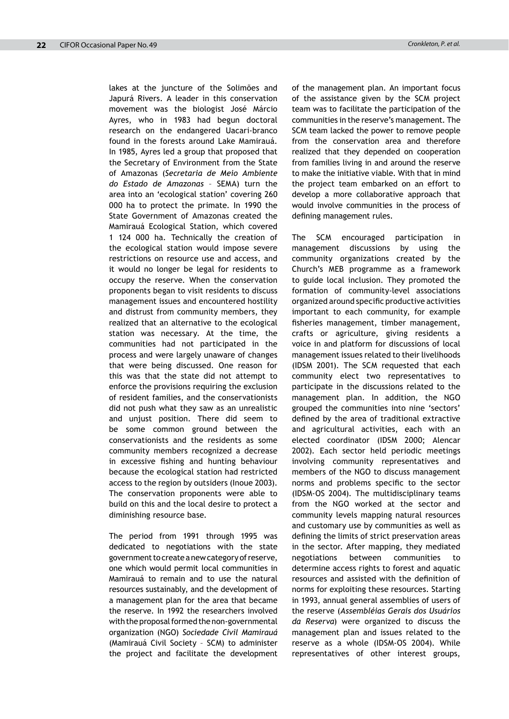lakes at the juncture of the Solimões and Japurá Rivers. A leader in this conservation movement was the biologist José Márcio Ayres, who in 1983 had begun doctoral research on the endangered Uacari-branco found in the forests around Lake Mamirauá. In 1985, Ayres led a group that proposed that the Secretary of Environment from the State of Amazonas (*Secretaria de Meio Ambiente do Estado de Amazonas* – SEMA) turn the area into an 'ecological station' covering 260 000 ha to protect the primate. In 1990 the State Government of Amazonas created the Mamirauá Ecological Station, which covered 1 124 000 ha. Technically the creation of the ecological station would impose severe restrictions on resource use and access, and it would no longer be legal for residents to occupy the reserve. When the conservation proponents began to visit residents to discuss management issues and encountered hostility and distrust from community members, they realized that an alternative to the ecological station was necessary. At the time, the communities had not participated in the process and were largely unaware of changes that were being discussed. One reason for this was that the state did not attempt to enforce the provisions requiring the exclusion of resident families, and the conservationists did not push what they saw as an unrealistic and unjust position. There did seem to be some common ground between the conservationists and the residents as some community members recognized a decrease in excessive fishing and hunting behaviour because the ecological station had restricted access to the region by outsiders (Inoue 2003). The conservation proponents were able to build on this and the local desire to protect a diminishing resource base.

The period from 1991 through 1995 was dedicated to negotiations with the state government to create a new category of reserve, one which would permit local communities in Mamirauá to remain and to use the natural resources sustainably, and the development of a management plan for the area that became the reserve. In 1992 the researchers involved with the proposal formed the non-governmental organization (NGO) *Sociedade Civil Mamirauá* (Mamirauá Civil Society – SCM) to administer the project and facilitate the development of the management plan. An important focus of the assistance given by the SCM project team was to facilitate the participation of the communities in the reserve's management. The SCM team lacked the power to remove people from the conservation area and therefore realized that they depended on cooperation from families living in and around the reserve to make the initiative viable. With that in mind the project team embarked on an effort to develop a more collaborative approach that would involve communities in the process of defining management rules.

The SCM encouraged participation in management discussions by using the community organizations created by the Church's MEB programme as a framework to guide local inclusion. They promoted the formation of community-level associations organized around specific productive activities important to each community, for example fisheries management, timber management, crafts or agriculture, giving residents a voice in and platform for discussions of local management issues related to their livelihoods (IDSM 2001). The SCM requested that each community elect two representatives to participate in the discussions related to the management plan. In addition, the NGO grouped the communities into nine 'sectors' defined by the area of traditional extractive and agricultural activities, each with an elected coordinator (IDSM 2000; Alencar 2002). Each sector held periodic meetings involving community representatives and members of the NGO to discuss management norms and problems specific to the sector (IDSM-OS 2004)*.* The multidisciplinary teams from the NGO worked at the sector and community levels mapping natural resources and customary use by communities as well as defining the limits of strict preservation areas in the sector. After mapping, they mediated negotiations between communities to determine access rights to forest and aquatic resources and assisted with the definition of norms for exploiting these resources. Starting in 1993, annual general assemblies of users of the reserve (*Assembléias Gerais dos Usuários da Reserva*) were organized to discuss the management plan and issues related to the reserve as a whole (IDSM-OS 2004). While representatives of other interest groups,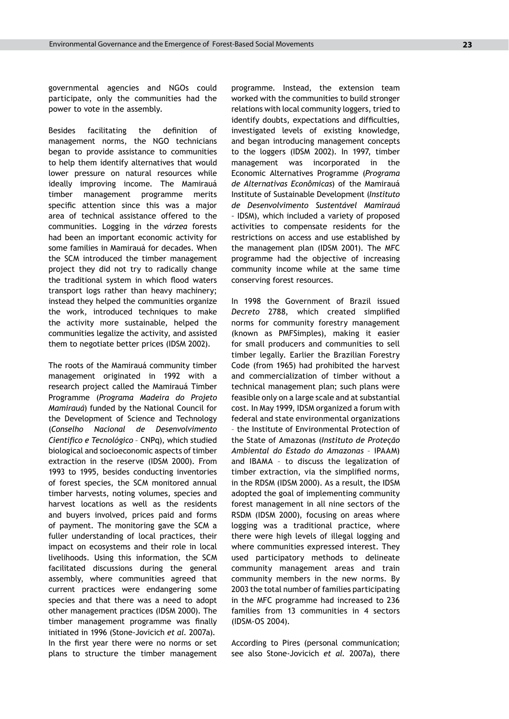governmental agencies and NGOs could participate, only the communities had the power to vote in the assembly.

Besides facilitating the definition of management norms, the NGO technicians began to provide assistance to communities to help them identify alternatives that would lower pressure on natural resources while ideally improving income. The Mamirauá timber management programme merits specific attention since this was a major area of technical assistance offered to the communities. Logging in the *várzea* forests had been an important economic activity for some families in Mamirauá for decades. When the SCM introduced the timber management project they did not try to radically change the traditional system in which flood waters transport logs rather than heavy machinery; instead they helped the communities organize the work, introduced techniques to make the activity more sustainable, helped the communities legalize the activity, and assisted them to negotiate better prices (IDSM 2002).

The roots of the Mamirauá community timber management originated in 1992 with a research project called the Mamirauá Timber Programme (*Programa Madeira do Projeto Mamirauá*) funded by the National Council for the Development of Science and Technology (*Conselho Nacional de Desenvolvimento Cientifico e Tecnológico* – CNPq), which studied biological and socioeconomic aspects of timber extraction in the reserve (IDSM 2000). From 1993 to 1995, besides conducting inventories of forest species, the SCM monitored annual timber harvests, noting volumes, species and harvest locations as well as the residents and buyers involved, prices paid and forms of payment. The monitoring gave the SCM a fuller understanding of local practices, their impact on ecosystems and their role in local livelihoods. Using this information, the SCM facilitated discussions during the general assembly, where communities agreed that current practices were endangering some species and that there was a need to adopt other management practices (IDSM 2000). The timber management programme was finally initiated in 1996 (Stone-Jovicich *et al.* 2007a). In the first year there were no norms or set plans to structure the timber management programme. Instead, the extension team worked with the communities to build stronger relations with local community loggers, tried to identify doubts, expectations and difficulties, investigated levels of existing knowledge, and began introducing management concepts to the loggers (IDSM 2002). In 1997, timber management was incorporated in the Economic Alternatives Programme (*Programa de Alternativas Econômicas*) of the Mamirauá Institute of Sustainable Development (*Instituto de Desenvolvimento Sustentável Mamirauá –* IDSM), which included a variety of proposed activities to compensate residents for the restrictions on access and use established by the management plan (IDSM 2001). The MFC programme had the objective of increasing community income while at the same time conserving forest resources.

In 1998 the Government of Brazil issued *Decreto* 2788, which created simplified norms for community forestry management (known as PMFSimples), making it easier for small producers and communities to sell timber legally. Earlier the Brazilian Forestry Code (from 1965) had prohibited the harvest and commercialization of timber without a technical management plan; such plans were feasible only on a large scale and at substantial cost. In May 1999, IDSM organized a forum with federal and state environmental organizations – the Institute of Environmental Protection of the State of Amazonas (*Instituto de Proteção Ambiental do Estado do Amazonas* – IPAAM) and IBAMA – to discuss the legalization of timber extraction, via the simplified norms, in the RDSM (IDSM 2000). As a result, the IDSM adopted the goal of implementing community forest management in all nine sectors of the RSDM (IDSM 2000), focusing on areas where logging was a traditional practice, where there were high levels of illegal logging and where communities expressed interest. They used participatory methods to delineate community management areas and train community members in the new norms. By 2003 the total number of families participating in the MFC programme had increased to 236 families from 13 communities in 4 sectors (IDSM-OS 2004).

According to Pires (personal communication; see also Stone-Jovicich *et al.* 2007a), there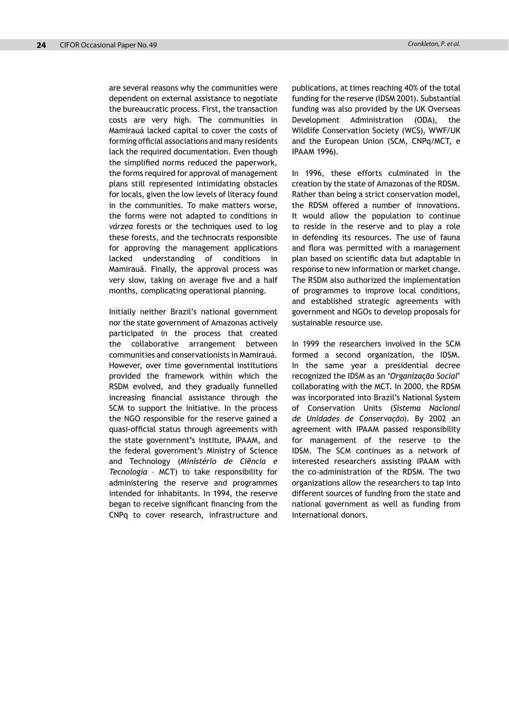are several reasons why the communities were dependent on external assistance to negotiate the bureaucratic process. First, the transaction costs are very high. The communities in Mamirauá lacked capital to cover the costs of forming official associations and many residents lack the required documentation. Even though the simplified norms reduced the paperwork, the forms required for approval of management plans still represented intimidating obstacles for locals, given the low levels of literacy found in the communities. To make matters worse, the forms were not adapted to conditions in *várzea* forests or the techniques used to log these forests, and the technocrats responsible for approving the management applications lacked understanding of conditions in Mamirauá. Finally, the approval process was very slow, taking on average five and a half months, complicating operational planning.

Initially neither Brazil's national government nor the state government of Amazonas actively participated in the process that created the collaborative arrangement between communities and conservationists in Mamirauá. However, over time governmental institutions provided the framework within which the RSDM evolved, and they gradually funnelled increasing financial assistance through the SCM to support the initiative. In the process the NGO responsible for the reserve gained a quasi-official status through agreements with the state government's institute, IPAAM, and the federal government's Ministry of Science and Technology (*Ministério de Ciência e Tecnologia* – MCT) to take responsibility for administering the reserve and programmes intended for inhabitants. In 1994, the reserve began to receive significant financing from the CNPq to cover research, infrastructure and publications, at times reaching 40% of the total funding for the reserve (IDSM 2001). Substantial funding was also provided by the UK Overseas Development Administration (ODA), the Wildlife Conservation Society (WCS), WWF/UK and the European Union (SCM, CNPq/MCT, e IPAAM 1996).

In 1996, these efforts culminated in the creation by the state of Amazonas of the RDSM. Rather than being a strict conservation model, the RDSM offered a number of innovations. It would allow the population to continue to reside in the reserve and to play a role in defending its resources. The use of fauna and flora was permitted with a management plan based on scientific data but adaptable in response to new information or market change. The RSDM also authorized the implementation of programmes to improve local conditions, and established strategic agreements with government and NGOs to develop proposals for sustainable resource use.

In 1999 the researchers involved in the SCM formed a second organization, the IDSM. In the same year a presidential decree recognized the IDSM as an '*Organização Social*' collaborating with the MCT. In 2000, the RDSM was incorporated into Brazil's National System of Conservation Units (*Sistema Nacional de Unidades de Conservação*). By 2002 an agreement with IPAAM passed responsibility for management of the reserve to the IDSM. The SCM continues as a network of interested researchers assisting IPAAM with the co-administration of the RDSM. The two organizations allow the researchers to tap into different sources of funding from the state and national government as well as funding from international donors.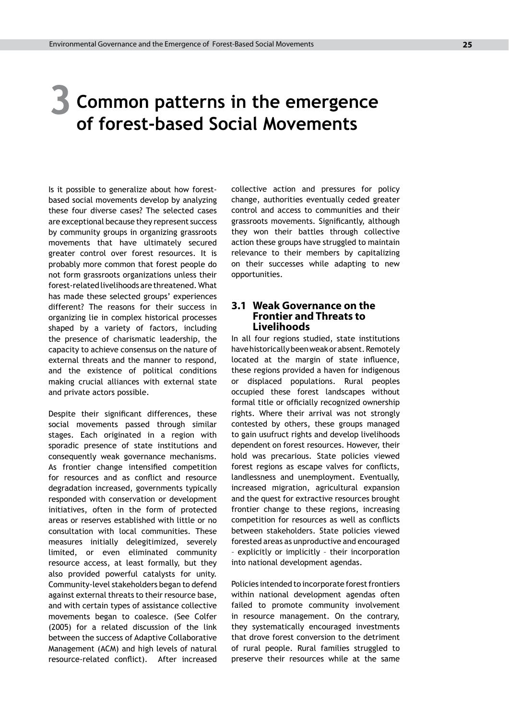### **Common patterns in the emergence of forest-based Social Movements 3**

Is it possible to generalize about how forestbased social movements develop by analyzing these four diverse cases? The selected cases are exceptional because they represent success by community groups in organizing grassroots movements that have ultimately secured greater control over forest resources. It is probably more common that forest people do not form grassroots organizations unless their forest-related livelihoods are threatened. What has made these selected groups' experiences different? The reasons for their success in organizing lie in complex historical processes shaped by a variety of factors, including the presence of charismatic leadership, the capacity to achieve consensus on the nature of external threats and the manner to respond, and the existence of political conditions making crucial alliances with external state and private actors possible.

Despite their significant differences, these social movements passed through similar stages. Each originated in a region with sporadic presence of state institutions and consequently weak governance mechanisms. As frontier change intensified competition for resources and as conflict and resource degradation increased, governments typically responded with conservation or development initiatives, often in the form of protected areas or reserves established with little or no consultation with local communities. These measures initially delegitimized, severely limited, or even eliminated community resource access, at least formally, but they also provided powerful catalysts for unity. Community-level stakeholders began to defend against external threats to their resource base, and with certain types of assistance collective movements began to coalesce. (See Colfer (2005) for a related discussion of the link between the success of Adaptive Collaborative Management (ACM) and high levels of natural resource-related conflict). After increased collective action and pressures for policy change, authorities eventually ceded greater control and access to communities and their grassroots movements. Significantly, although they won their battles through collective action these groups have struggled to maintain relevance to their members by capitalizing on their successes while adapting to new opportunities.

#### **3.1 Weak Governance on the Frontier and Threats to Livelihoods**

In all four regions studied, state institutions have historically been weak or absent. Remotely located at the margin of state influence, these regions provided a haven for indigenous or displaced populations. Rural peoples occupied these forest landscapes without formal title or officially recognized ownership rights. Where their arrival was not strongly contested by others, these groups managed to gain usufruct rights and develop livelihoods dependent on forest resources. However, their hold was precarious. State policies viewed forest regions as escape valves for conflicts, landlessness and unemployment. Eventually, increased migration, agricultural expansion and the quest for extractive resources brought frontier change to these regions, increasing competition for resources as well as conflicts between stakeholders. State policies viewed forested areas as unproductive and encouraged – explicitly or implicitly – their incorporation into national development agendas.

Policies intended to incorporate forest frontiers within national development agendas often failed to promote community involvement in resource management. On the contrary, they systematically encouraged investments that drove forest conversion to the detriment of rural people. Rural families struggled to preserve their resources while at the same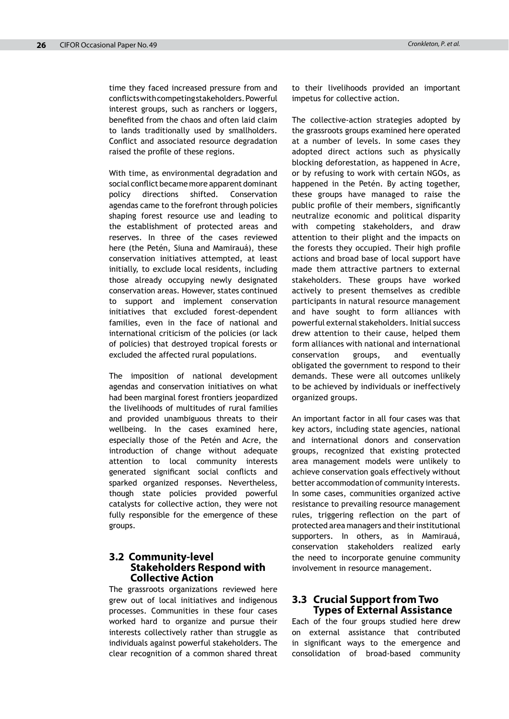time they faced increased pressure from and conflicts with competing stakeholders. Powerful interest groups, such as ranchers or loggers, benefited from the chaos and often laid claim to lands traditionally used by smallholders. Conflict and associated resource degradation raised the profile of these regions.

With time, as environmental degradation and social conflict became more apparent dominant policy directions shifted. Conservation agendas came to the forefront through policies shaping forest resource use and leading to the establishment of protected areas and reserves. In three of the cases reviewed here (the Petén, Siuna and Mamirauá), these conservation initiatives attempted, at least initially, to exclude local residents, including those already occupying newly designated conservation areas. However, states continued to support and implement conservation initiatives that excluded forest-dependent families, even in the face of national and international criticism of the policies (or lack of policies) that destroyed tropical forests or excluded the affected rural populations.

The imposition of national development agendas and conservation initiatives on what had been marginal forest frontiers jeopardized the livelihoods of multitudes of rural families and provided unambiguous threats to their wellbeing. In the cases examined here, especially those of the Petén and Acre, the introduction of change without adequate attention to local community interests generated significant social conflicts and sparked organized responses. Nevertheless, though state policies provided powerful catalysts for collective action, they were not fully responsible for the emergence of these groups.

#### **3.2 Community-level Stakeholders Respond with Collective Action**

The grassroots organizations reviewed here grew out of local initiatives and indigenous processes. Communities in these four cases worked hard to organize and pursue their interests collectively rather than struggle as individuals against powerful stakeholders. The clear recognition of a common shared threat to their livelihoods provided an important impetus for collective action.

The collective-action strategies adopted by the grassroots groups examined here operated at a number of levels. In some cases they adopted direct actions such as physically blocking deforestation, as happened in Acre, or by refusing to work with certain NGOs, as happened in the Petén. By acting together, these groups have managed to raise the public profile of their members, significantly neutralize economic and political disparity with competing stakeholders, and draw attention to their plight and the impacts on the forests they occupied. Their high profile actions and broad base of local support have made them attractive partners to external stakeholders. These groups have worked actively to present themselves as credible participants in natural resource management and have sought to form alliances with powerful external stakeholders. Initial success drew attention to their cause, helped them form alliances with national and international conservation groups, and eventually obligated the government to respond to their demands. These were all outcomes unlikely to be achieved by individuals or ineffectively organized groups.

An important factor in all four cases was that key actors, including state agencies, national and international donors and conservation groups, recognized that existing protected area management models were unlikely to achieve conservation goals effectively without better accommodation of community interests. In some cases, communities organized active resistance to prevailing resource management rules, triggering reflection on the part of protected area managers and their institutional supporters. In others, as in Mamirauá, conservation stakeholders realized early the need to incorporate genuine community involvement in resource management.

#### **3.3 Crucial Support from Two Types of External Assistance**

Each of the four groups studied here drew on external assistance that contributed in significant ways to the emergence and consolidation of broad-based community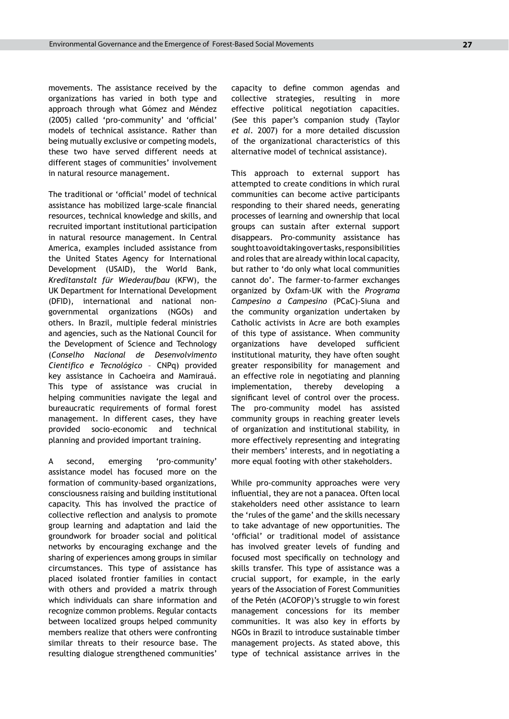movements. The assistance received by the organizations has varied in both type and approach through what Gómez and Méndez (2005) called 'pro-community' and 'official' models of technical assistance. Rather than being mutually exclusive or competing models, these two have served different needs at different stages of communities' involvement in natural resource management.

The traditional or 'official' model of technical assistance has mobilized large-scale financial resources, technical knowledge and skills, and recruited important institutional participation in natural resource management. In Central America, examples included assistance from the United States Agency for International Development (USAID), the World Bank, *Kreditanstalt für Wiederaufbau* (KFW), the UK Department for International Development (DFID), international and national nongovernmental organizations (NGOs) and others. In Brazil, multiple federal ministries and agencies, such as the National Council for the Development of Science and Technology (*Conselho Nacional de Desenvolvimento Cientifico e Tecnológico* – CNPq) provided key assistance in Cachoeira and Mamirauá. This type of assistance was crucial in helping communities navigate the legal and bureaucratic requirements of formal forest management. In different cases, they have provided socio-economic and technical planning and provided important training.

A second, emerging 'pro-community' assistance model has focused more on the formation of community-based organizations, consciousness raising and building institutional capacity. This has involved the practice of collective reflection and analysis to promote group learning and adaptation and laid the groundwork for broader social and political networks by encouraging exchange and the sharing of experiences among groups in similar circumstances. This type of assistance has placed isolated frontier families in contact with others and provided a matrix through which individuals can share information and recognize common problems. Regular contacts between localized groups helped community members realize that others were confronting similar threats to their resource base. The resulting dialogue strengthened communities'

capacity to define common agendas and collective strategies, resulting in more effective political negotiation capacities. (See this paper's companion study (Taylor *et al.* 2007) for a more detailed discussion of the organizational characteristics of this alternative model of technical assistance).

This approach to external support has attempted to create conditions in which rural communities can become active participants responding to their shared needs, generating processes of learning and ownership that local groups can sustain after external support disappears. Pro-community assistance has sought to avoid taking over tasks, responsibilities and roles that are already within local capacity, but rather to 'do only what local communities cannot do'. The farmer-to-farmer exchanges organized by Oxfam-UK with the *Programa Campesino a Campesino* (PCaC)-Siuna and the community organization undertaken by Catholic activists in Acre are both examples of this type of assistance. When community organizations have developed sufficient institutional maturity, they have often sought greater responsibility for management and an effective role in negotiating and planning implementation, thereby developing a significant level of control over the process. The pro-community model has assisted community groups in reaching greater levels of organization and institutional stability, in more effectively representing and integrating their members' interests, and in negotiating a more equal footing with other stakeholders.

While pro-community approaches were very influential, they are not a panacea. Often local stakeholders need other assistance to learn the 'rules of the game' and the skills necessary to take advantage of new opportunities. The 'official' or traditional model of assistance has involved greater levels of funding and focused most specifically on technology and skills transfer. This type of assistance was a crucial support, for example, in the early years of the Association of Forest Communities of the Petén (ACOFOP)'s struggle to win forest management concessions for its member communities. It was also key in efforts by NGOs in Brazil to introduce sustainable timber management projects. As stated above, this type of technical assistance arrives in the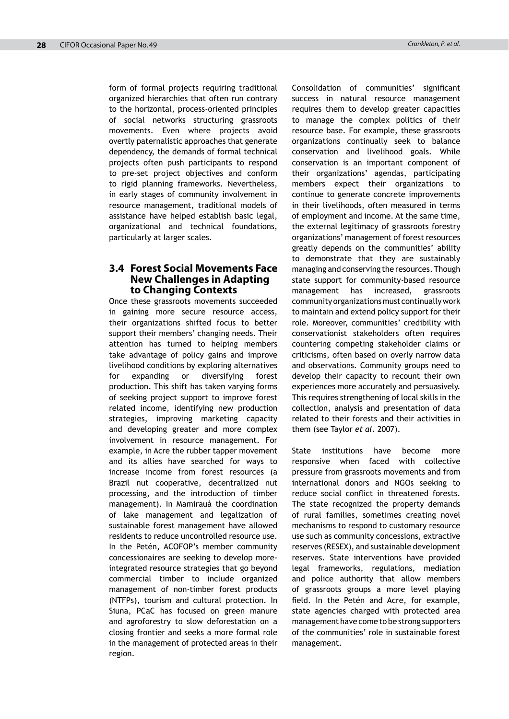form of formal projects requiring traditional organized hierarchies that often run contrary to the horizontal, process-oriented principles of social networks structuring grassroots movements. Even where projects avoid overtly paternalistic approaches that generate dependency, the demands of formal technical projects often push participants to respond to pre-set project objectives and conform to rigid planning frameworks. Nevertheless, in early stages of community involvement in resource management, traditional models of assistance have helped establish basic legal, organizational and technical foundations, particularly at larger scales.

#### **3.4 Forest Social Movements Face New Challenges in Adapting to Changing Contexts**

Once these grassroots movements succeeded in gaining more secure resource access, their organizations shifted focus to better support their members' changing needs. Their attention has turned to helping members take advantage of policy gains and improve livelihood conditions by exploring alternatives for expanding or diversifying forest production. This shift has taken varying forms of seeking project support to improve forest related income, identifying new production strategies, improving marketing capacity and developing greater and more complex involvement in resource management. For example, in Acre the rubber tapper movement and its allies have searched for ways to increase income from forest resources (a Brazil nut cooperative, decentralized nut processing, and the introduction of timber management). In Mamirauá the coordination of lake management and legalization of sustainable forest management have allowed residents to reduce uncontrolled resource use. In the Petén, ACOFOP's member community concessionaires are seeking to develop moreintegrated resource strategies that go beyond commercial timber to include organized management of non-timber forest products (NTFPs), tourism and cultural protection. In Siuna, PCaC has focused on green manure and agroforestry to slow deforestation on a closing frontier and seeks a more formal role in the management of protected areas in their region.

Consolidation of communities' significant success in natural resource management requires them to develop greater capacities to manage the complex politics of their resource base. For example, these grassroots organizations continually seek to balance conservation and livelihood goals. While conservation is an important component of their organizations' agendas, participating members expect their organizations to continue to generate concrete improvements in their livelihoods, often measured in terms of employment and income. At the same time, the external legitimacy of grassroots forestry organizations' management of forest resources greatly depends on the communities' ability to demonstrate that they are sustainably managing and conserving the resources. Though state support for community-based resource management has increased, grassroots community organizations must continually work to maintain and extend policy support for their role. Moreover, communities' credibility with conservationist stakeholders often requires countering competing stakeholder claims or criticisms, often based on overly narrow data and observations. Community groups need to develop their capacity to recount their own experiences more accurately and persuasively. This requires strengthening of local skills in the collection, analysis and presentation of data related to their forests and their activities in them (see Taylor *et al*. 2007).

State institutions have become more responsive when faced with collective pressure from grassroots movements and from international donors and NGOs seeking to reduce social conflict in threatened forests. The state recognized the property demands of rural families, sometimes creating novel mechanisms to respond to customary resource use such as community concessions, extractive reserves (RESEX), and sustainable development reserves. State interventions have provided legal frameworks, regulations, mediation and police authority that allow members of grassroots groups a more level playing field. In the Petén and Acre, for example, state agencies charged with protected area management have come to be strong supporters of the communities' role in sustainable forest management.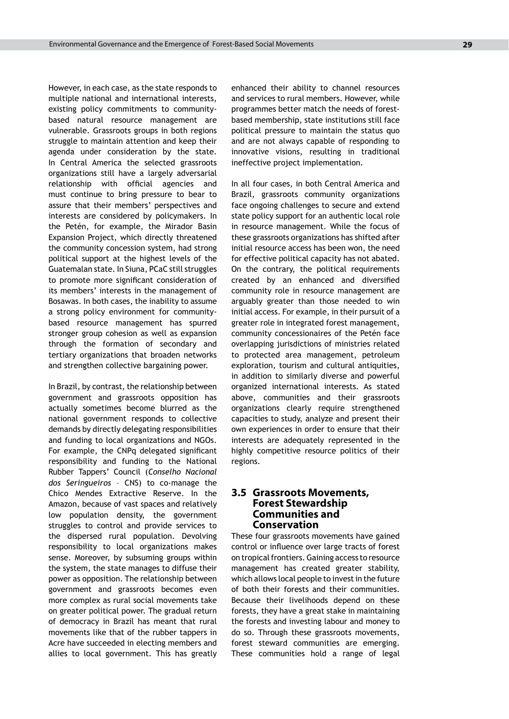However, in each case, as the state responds to multiple national and international interests, existing policy commitments to communitybased natural resource management are vulnerable. Grassroots groups in both regions struggle to maintain attention and keep their agenda under consideration by the state. In Central America the selected grassroots organizations still have a largely adversarial relationship with official agencies and must continue to bring pressure to bear to assure that their members' perspectives and interests are considered by policymakers. In the Petén, for example, the Mirador Basin Expansion Project, which directly threatened the community concession system, had strong political support at the highest levels of the Guatemalan state. In Siuna, PCaC still struggles to promote more significant consideration of its members' interests in the management of Bosawas. In both cases, the inability to assume a strong policy environment for communitybased resource management has spurred stronger group cohesion as well as expansion through the formation of secondary and tertiary organizations that broaden networks and strengthen collective bargaining power.

In Brazil, by contrast, the relationship between government and grassroots opposition has actually sometimes become blurred as the national government responds to collective demands by directly delegating responsibilities and funding to local organizations and NGOs. For example, the CNPq delegated significant responsibility and funding to the National Rubber Tappers' Council (*Conselho Nacional dos Seringueiros* – CNS) to co-manage the Chico Mendes Extractive Reserve. In the Amazon, because of vast spaces and relatively low population density, the government struggles to control and provide services to the dispersed rural population. Devolving responsibility to local organizations makes sense. Moreover, by subsuming groups within the system, the state manages to diffuse their power as opposition. The relationship between government and grassroots becomes even more complex as rural social movements take on greater political power. The gradual return of democracy in Brazil has meant that rural movements like that of the rubber tappers in Acre have succeeded in electing members and allies to local government. This has greatly enhanced their ability to channel resources and services to rural members. However, while programmes better match the needs of forestbased membership, state institutions still face political pressure to maintain the status quo and are not always capable of responding to innovative visions, resulting in traditional ineffective project implementation.

In all four cases, in both Central America and Brazil, grassroots community organizations face ongoing challenges to secure and extend state policy support for an authentic local role in resource management. While the focus of these grassroots organizations has shifted after initial resource access has been won, the need for effective political capacity has not abated. On the contrary, the political requirements created by an enhanced and diversified community role in resource management are arguably greater than those needed to win initial access. For example, in their pursuit of a greater role in integrated forest management, community concessionaires of the Petén face overlapping jurisdictions of ministries related to protected area management, petroleum exploration, tourism and cultural antiquities, in addition to similarly diverse and powerful organized international interests. As stated above, communities and their grassroots organizations clearly require strengthened capacities to study, analyze and present their own experiences in order to ensure that their interests are adequately represented in the highly competitive resource politics of their regions.

#### **3.5 Grassroots Movements, Forest Stewardship Communities and Conservation**

These four grassroots movements have gained control or influence over large tracts of forest on tropical frontiers. Gaining access to resource management has created greater stability, which allows local people to invest in the future of both their forests and their communities. Because their livelihoods depend on these forests, they have a great stake in maintaining the forests and investing labour and money to do so. Through these grassroots movements, forest steward communities are emerging. These communities hold a range of legal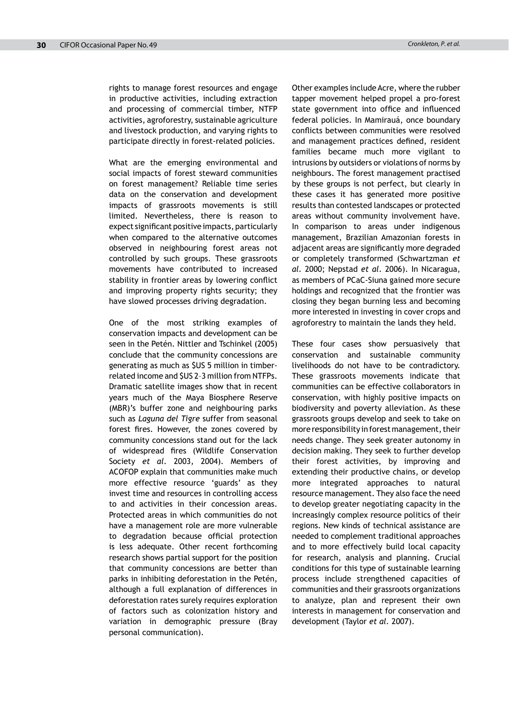rights to manage forest resources and engage in productive activities, including extraction and processing of commercial timber, NTFP activities, agroforestry, sustainable agriculture and livestock production, and varying rights to participate directly in forest-related policies.

What are the emerging environmental and social impacts of forest steward communities on forest management? Reliable time series data on the conservation and development impacts of grassroots movements is still limited. Nevertheless, there is reason to expect significant positive impacts, particularly when compared to the alternative outcomes observed in neighbouring forest areas not controlled by such groups. These grassroots movements have contributed to increased stability in frontier areas by lowering conflict and improving property rights security; they have slowed processes driving degradation.

One of the most striking examples of conservation impacts and development can be seen in the Petén. Nittler and Tschinkel (2005) conclude that the community concessions are generating as much as \$US 5 million in timberrelated income and \$US 2–3 million from NTFPs. Dramatic satellite images show that in recent years much of the Maya Biosphere Reserve (MBR)'s buffer zone and neighbouring parks such as *Laguna del Tigre* suffer from seasonal forest fires. However, the zones covered by community concessions stand out for the lack of widespread fires (Wildlife Conservation Society *et al.* 2003, 2004). Members of ACOFOP explain that communities make much more effective resource 'guards' as they invest time and resources in controlling access to and activities in their concession areas. Protected areas in which communities do not have a management role are more vulnerable to degradation because official protection is less adequate. Other recent forthcoming research shows partial support for the position that community concessions are better than parks in inhibiting deforestation in the Petén, although a full explanation of differences in deforestation rates surely requires exploration of factors such as colonization history and variation in demographic pressure (Bray personal communication).

Other examples include Acre, where the rubber tapper movement helped propel a pro-forest state government into office and influenced federal policies. In Mamirauá, once boundary conflicts between communities were resolved and management practices defined, resident families became much more vigilant to intrusions by outsiders or violations of norms by neighbours. The forest management practised by these groups is not perfect, but clearly in these cases it has generated more positive results than contested landscapes or protected areas without community involvement have. In comparison to areas under indigenous management, Brazilian Amazonian forests in adjacent areas are significantly more degraded or completely transformed (Schwartzman *et al.* 2000; Nepstad *et al*. 2006). In Nicaragua, as members of PCaC-Siuna gained more secure holdings and recognized that the frontier was closing they began burning less and becoming more interested in investing in cover crops and agroforestry to maintain the lands they held.

These four cases show persuasively that conservation and sustainable community livelihoods do not have to be contradictory. These grassroots movements indicate that communities can be effective collaborators in conservation, with highly positive impacts on biodiversity and poverty alleviation. As these grassroots groups develop and seek to take on more responsibility in forest management, their needs change. They seek greater autonomy in decision making. They seek to further develop their forest activities, by improving and extending their productive chains, or develop more integrated approaches to natural resource management. They also face the need to develop greater negotiating capacity in the increasingly complex resource politics of their regions. New kinds of technical assistance are needed to complement traditional approaches and to more effectively build local capacity for research, analysis and planning. Crucial conditions for this type of sustainable learning process include strengthened capacities of communities and their grassroots organizations to analyze, plan and represent their own interests in management for conservation and development (Taylor *et al.* 2007).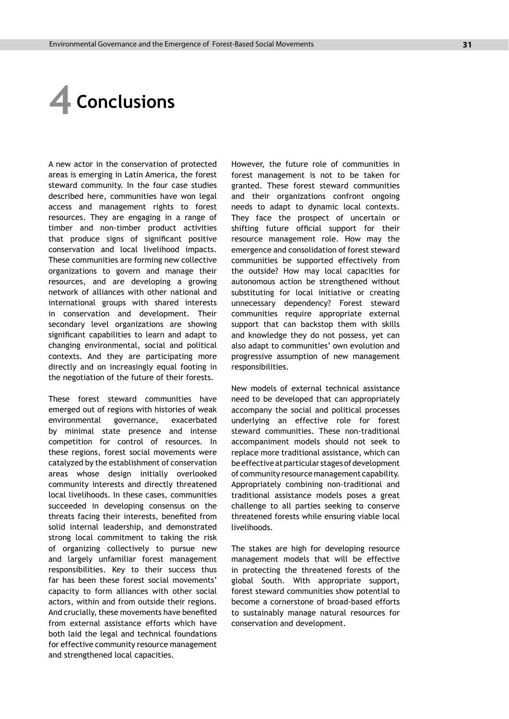# **4 Conclusions**

A new actor in the conservation of protected areas is emerging in Latin America, the forest steward community. In the four case studies described here, communities have won legal access and management rights to forest resources. They are engaging in a range of timber and non-timber product activities that produce signs of significant positive conservation and local livelihood impacts. These communities are forming new collective organizations to govern and manage their resources, and are developing a growing network of alliances with other national and international groups with shared interests in conservation and development. Their secondary level organizations are showing significant capabilities to learn and adapt to changing environmental, social and political contexts. And they are participating more directly and on increasingly equal footing in the negotiation of the future of their forests.

These forest steward communities have emerged out of regions with histories of weak environmental governance, exacerbated by minimal state presence and intense competition for control of resources. In these regions, forest social movements were catalyzed by the establishment of conservation areas whose design initially overlooked community interests and directly threatened local livelihoods. In these cases, communities succeeded in developing consensus on the threats facing their interests, benefited from solid internal leadership, and demonstrated strong local commitment to taking the risk of organizing collectively to pursue new and largely unfamiliar forest management responsibilities. Key to their success thus far has been these forest social movements' capacity to form alliances with other social actors, within and from outside their regions. And crucially, these movements have benefited from external assistance efforts which have both laid the legal and technical foundations for effective community resource management and strengthened local capacities.

However, the future role of communities in forest management is not to be taken for granted. These forest steward communities and their organizations confront ongoing needs to adapt to dynamic local contexts. They face the prospect of uncertain or shifting future official support for their resource management role. How may the emergence and consolidation of forest steward communities be supported effectively from the outside? How may local capacities for autonomous action be strengthened without substituting for local initiative or creating unnecessary dependency? Forest steward communities require appropriate external support that can backstop them with skills and knowledge they do not possess, yet can also adapt to communities' own evolution and progressive assumption of new management responsibilities.

New models of external technical assistance need to be developed that can appropriately accompany the social and political processes underlying an effective role for forest steward communities. These non-traditional accompaniment models should not seek to replace more traditional assistance, which can be effective at particular stages of development of community resource management capability. Appropriately combining non-traditional and traditional assistance models poses a great challenge to all parties seeking to conserve threatened forests while ensuring viable local livelihoods.

The stakes are high for developing resource management models that will be effective in protecting the threatened forests of the global South. With appropriate support, forest steward communities show potential to become a cornerstone of broad-based efforts to sustainably manage natural resources for conservation and development.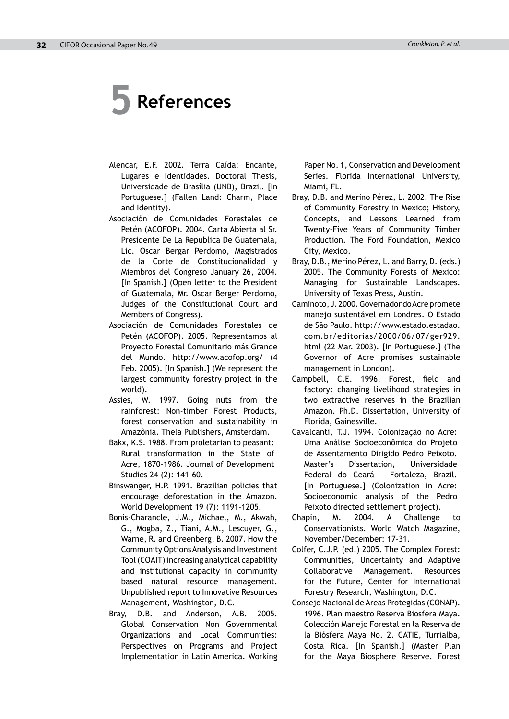# **5 References**

- Alencar, E.F. 2002. Terra Caída: Encante, Lugares e Identidades. Doctoral Thesis, Universidade de Brasília (UNB), Brazil. [In Portuguese.] (Fallen Land: Charm, Place and Identity).
- Asociación de Comunidades Forestales de Petén (ACOFOP). 2004. Carta Abierta al Sr. Presidente De La Republica De Guatemala, Lic. Oscar Bergar Perdomo, Magistrados de la Corte de Constitucionalidad y Miembros del Congreso January 26, 2004. [In Spanish.] (Open letter to the President of Guatemala, Mr. Oscar Berger Perdomo, Judges of the Constitutional Court and Members of Congress).
- Asociación de Comunidades Forestales de Petén (ACOFOP). 2005. Representamos al Proyecto Forestal Comunitario más Grande del Mundo. http://www.acofop.org/ (4 Feb. 2005). [In Spanish.] (We represent the largest community forestry project in the world).
- Assies, W. 1997. Going nuts from the rainforest: Non-timber Forest Products, forest conservation and sustainability in Amazônia. Thela Publishers, Amsterdam.
- Bakx, K.S. 1988. From proletarian to peasant: Rural transformation in the State of Acre, 1870-1986. Journal of Development Studies 24 (2): 141-60.
- Binswanger, H.P. 1991. Brazilian policies that encourage deforestation in the Amazon. World Development 19 (7): 1191-1205.
- Bonis-Charancle, J.M., Michael, M., Akwah, G., Mogba, Z., Tiani, A.M., Lescuyer, G., Warne, R. and Greenberg, B. 2007. How the Community Options Analysis and Investment Tool (COAIT) increasing analytical capability and institutional capacity in community based natural resource management. Unpublished report to Innovative Resources Management, Washington, D.C.
- Bray, D.B. and Anderson, A.B. 2005. Global Conservation Non Governmental Organizations and Local Communities: Perspectives on Programs and Project Implementation in Latin America. Working

Paper No. 1, Conservation and Development Series. Florida International University, Miami, FL.

- Bray, D.B. and Merino Pérez, L. 2002. The Rise of Community Forestry in Mexico; History, Concepts, and Lessons Learned from Twenty-Five Years of Community Timber Production. The Ford Foundation, Mexico City, Mexico.
- Bray, D.B., Merino Pérez, L. and Barry, D. (eds.) 2005. The Community Forests of Mexico: Managing for Sustainable Landscapes. University of Texas Press, Austin.
- Caminoto, J. 2000. Governador do Acre promete manejo sustentável em Londres. O Estado de São Paulo. http://www.estado.estadao. com.br/editorias/2000/06/07/ger929. html (22 Mar. 2003). [In Portuguese.] (The Governor of Acre promises sustainable management in London).
- Campbell, C.E. 1996. Forest, field and factory: changing livelihood strategies in two extractive reserves in the Brazilian Amazon. Ph.D. Dissertation, University of Florida, Gainesville*.*
- Cavalcanti, T.J. 1994. Colonização no Acre: Uma Análise Socioeconômica do Projeto de Assentamento Dirigido Pedro Peixoto. Master's Dissertation, Universidade Federal do Ceará – Fortaleza, Brazil. [In Portuguese.] (Colonization in Acre: Socioeconomic analysis of the Pedro Peixoto directed settlement project).
- Chapin, M. 2004. A Challenge to Conservationists. World Watch Magazine, November/December: 17-31.
- Colfer, C.J.P. (ed.) 2005. The Complex Forest: Communities, Uncertainty and Adaptive Collaborative Management. Resources for the Future, Center for International Forestry Research, Washington, D.C.
- Consejo Nacional de Areas Protegidas (CONAP). 1996. Plan maestro Reserva Biosfera Maya. Colección Manejo Forestal en la Reserva de la Biósfera Maya No. 2. CATIE, Turrialba, Costa Rica. [In Spanish.] (Master Plan for the Maya Biosphere Reserve. Forest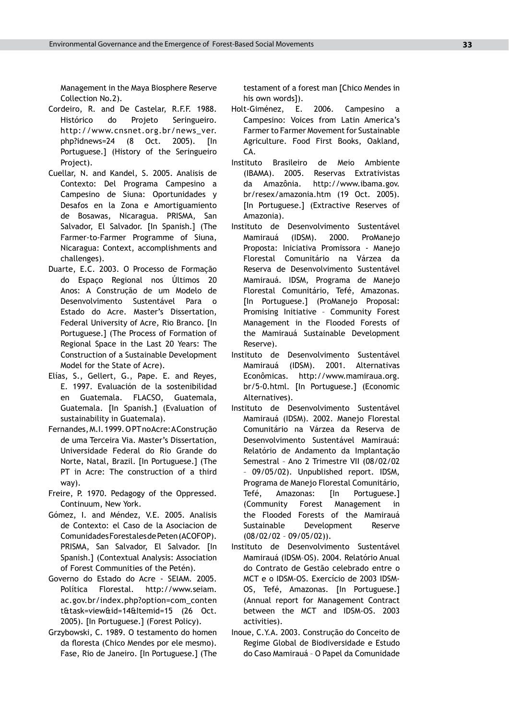Management in the Maya Biosphere Reserve Collection No.2).

- Cordeiro, R. and De Castelar, R.F.F. 1988. Histórico do Projeto Seringueiro. http://www.cnsnet.org.br/news\_ver. php?idnews=24 (8 Oct. 2005). [In Portuguese.] (History of the Seringueiro Project).
- Cuellar, N. and Kandel, S. 2005. Analisis de Contexto: Del Programa Campesino a Campesino de Siuna: Oportunidades y Desafos en la Zona e Amortiguamiento de Bosawas, Nicaragua. PRISMA, San Salvador, El Salvador. [In Spanish.] (The Farmer-to-Farmer Programme of Siuna, Nicaragua: Context, accomplishments and challenges).
- Duarte, E.C. 2003. O Processo de Formação do Espaço Regional nos Últimos 20 Anos: A Construção de um Modelo de Desenvolvimento Sustentável Para o Estado do Acre. Master's Dissertation, Federal University of Acre, Rio Branco. [In Portuguese.] (The Process of Formation of Regional Space in the Last 20 Years: The Construction of a Sustainable Development Model for the State of Acre).
- Elías, S., Gellert, G., Pape. E. and Reyes, E. 1997. Evaluación de la sostenibilidad en Guatemala. FLACSO, Guatemala, Guatemala. [In Spanish.] (Evaluation of sustainability in Guatemala).
- Fernandes, M.I. 1999. O PT no Acre: A Construção de uma Terceira Via. Master's Dissertation, Universidade Federal do Rio Grande do Norte, Natal, Brazil. [In Portuguese.] (The PT in Acre: The construction of a third way).
- Freire, P. 1970. Pedagogy of the Oppressed. Continuum, New York.
- Gómez, I. and Méndez, V.E. 2005. Analisis de Contexto: el Caso de la Asociacion de Comunidades Forestales de Peten (ACOFOP). PRISMA, San Salvador, El Salvador. [In Spanish.] (Contextual Analysis: Association of Forest Communities of the Petén).
- Governo do Estado do Acre SEIAM. 2005. Política Florestal. http://www.seiam. ac.gov.br/index.php?option=com\_conten t&task=view&id=14&Itemid=15 (26 Oct. 2005). [In Portuguese.] (Forest Policy).
- Grzybowski, C. 1989. O testamento do homen da floresta (Chico Mendes por ele mesmo). Fase, Rio de Janeiro. [In Portuguese.] (The

testament of a forest man [Chico Mendes in his own words]).

- Holt-Giménez, E. 2006. Campesino a Campesino: Voices from Latin America's Farmer to Farmer Movement for Sustainable Agriculture. Food First Books, Oakland, CA.
- Instituto Brasileiro de Meio Ambiente (IBAMA). 2005. Reservas Extrativistas da Amazônia. http://www.ibama.gov. br/resex/amazonia.htm (19 Oct. 2005). [In Portuguese.] (Extractive Reserves of Amazonia).
- Instituto de Desenvolvimento Sustentável Mamirauá (IDSM). 2000. ProManejo Proposta: Iniciativa Promissora - Manejo Florestal Comunitário na Várzea da Reserva de Desenvolvimento Sustentável Mamirauá. IDSM, Programa de Manejo Florestal Comunitário, Tefé, Amazonas. [In Portuguese.] (ProManejo Proposal: Promising Initiative – Community Forest Management in the Flooded Forests of the Mamirauá Sustainable Development Reserve).
- Instituto de Desenvolvimento Sustentável Mamirauá (IDSM). 2001. Alternativas Econômicas. http://www.mamiraua.org. br/5-0.html. [In Portuguese.] (Economic Alternatives).
- Instituto de Desenvolvimento Sustentável Mamirauá (IDSM). 2002. Manejo Florestal Comunitário na Várzea da Reserva de Desenvolvimento Sustentável Mamirauá: Relatório de Andamento da Implantação Semestral – Ano 2 Trimestre VII (08/02/02 – 09/05/02). Unpublished report. IDSM, Programa de Manejo Florestal Comunitário, Tefé, Amazonas: [In Portuguese.] (Community Forest Management in the Flooded Forests of the Mamirauá Sustainable Development Reserve (08/02/02 – 09/05/02)).
- Instituto de Desenvolvimento Sustentável Mamirauá (IDSM–OS). 2004. Relatório Anual do Contrato de Gestão celebrado entre o MCT e o IDSM-OS. Exercício de 2003 IDSM-OS, Tefé, Amazonas. [In Portuguese.] (Annual report for Management Contract between the MCT and IDSM-OS. 2003 activities).
- Inoue, C.Y.A. 2003. Construção do Conceito de Regime Global de Biodiversidade e Estudo do Caso Mamirauá – O Papel da Comunidade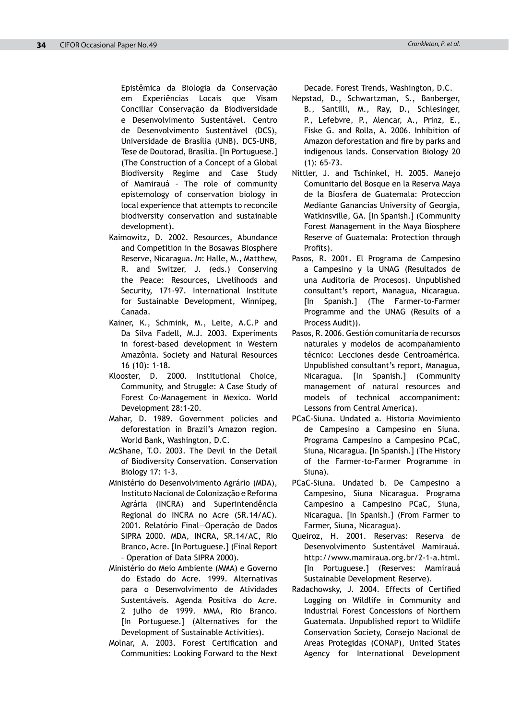Epistêmica da Biologia da Conservação em Experiências Locais que Visam Conciliar Conservação da Biodiversidade e Desenvolvimento Sustentável. Centro de Desenvolvimento Sustentável (DCS), Universidade de Brasília (UNB). DCS-UNB, Tese de Doutorad, Brasília. [In Portuguese.] (The Construction of a Concept of a Global Biodiversity Regime and Case Study of Mamirauá – The role of community epistemology of conservation biology in local experience that attempts to reconcile biodiversity conservation and sustainable development).

- Kaimowitz, D. 2002. Resources, Abundance and Competition in the Bosawas Biosphere Reserve, Nicaragua. *In*: Halle, M., Matthew, R. and Switzer, J. (eds.) Conserving the Peace: Resources, Livelihoods and Security, 171-97. International Institute for Sustainable Development, Winnipeg, Canada.
- Kainer, K., Schmink, M., Leite, A.C.P and Da Silva Fadell, M.J. 2003. Experiments in forest-based development in Western Amazônia. Society and Natural Resources 16 (10): 1-18.
- Klooster, D. 2000. Institutional Choice, Community, and Struggle: A Case Study of Forest Co-Management in Mexico. World Development 28:1-20.
- Mahar, D. 1989. Government policies and deforestation in Brazil's Amazon region. World Bank, Washington, D.C.
- McShane, T.O. 2003. The Devil in the Detail of Biodiversity Conservation. Conservation Biology 17: 1-3.
- Ministério do Desenvolvimento Agrário (MDA), Instituto Nacional de Colonização e Reforma Agrária (INCRA) and Superintendência Regional do INCRA no Acre (SR.14/AC). 2001. Relatório Final—Operação de Dados SIPRA 2000. MDA, INCRA, SR.14/AC, Rio Branco, Acre. [In Portuguese.] (Final Report – Operation of Data SIPRA 2000).
- Ministério do Meio Ambiente (MMA) e Governo do Estado do Acre. 1999. Alternativas para o Desenvolvimento de Atividades Sustentáveis. Agenda Positiva do Acre. 2 julho de 1999. MMA, Rio Branco. [In Portuguese.] (Alternatives for the Development of Sustainable Activities).
- Molnar, A. 2003. Forest Certification and Communities: Looking Forward to the Next

Decade. Forest Trends, Washington, D.C.

- Nepstad, D., Schwartzman, S., Banberger, B., Santilli, M., Ray, D., Schlesinger, P., Lefebvre, P., Alencar, A., Prinz, E., Fiske G. and Rolla, A. 2006. Inhibition of Amazon deforestation and fire by parks and indigenous lands. Conservation Biology 20 (1): 65-73.
- Nittler, J. and Tschinkel, H. 2005. Manejo Comunitario del Bosque en la Reserva Maya de la Biosfera de Guatemala: Proteccion Mediante Ganancias University of Georgia, Watkinsville, GA. [In Spanish.] (Community Forest Management in the Maya Biosphere Reserve of Guatemala: Protection through Profits).
- Pasos, R. 2001. El Programa de Campesino a Campesino y la UNAG (Resultados de una Auditoria de Procesos). Unpublished consultant's report, Managua, Nicaragua. [In Spanish.] (The Farmer-to-Farmer Programme and the UNAG (Results of a Process Audit)).
- Pasos, R. 2006. Gestión comunitaria de recursos naturales y modelos de acompañamiento técnico: Lecciones desde Centroamérica. Unpublished consultant's report, Managua, Nicaragua. [In Spanish.] (Community management of natural resources and models of technical accompaniment: Lessons from Central America).
- PCaC-Siuna. Undated a. Historia Movimiento de Campesino a Campesino en Siuna. Programa Campesino a Campesino PCaC, Siuna, Nicaragua. [In Spanish.] (The History of the Farmer-to-Farmer Programme in Siuna).
- PCaC-Siuna. Undated b. De Campesino a Campesino, Siuna Nicaragua. Programa Campesino a Campesino PCaC, Siuna, Nicaragua. [In Spanish.] (From Farmer to Farmer, Siuna, Nicaragua).
- Queiroz, H. 2001. Reservas: Reserva de Desenvolvimento Sustentável Mamirauá. http://www.mamiraua.org.br/2-1-a.html. [In Portuguese.] (Reserves: Mamirauá Sustainable Development Reserve).
- Radachowsky, J. 2004. Effects of Certified Logging on Wildlife in Community and Industrial Forest Concessions of Northern Guatemala. Unpublished report to Wildlife Conservation Society, Consejo Nacional de Areas Protegidas (CONAP), United States Agency for International Development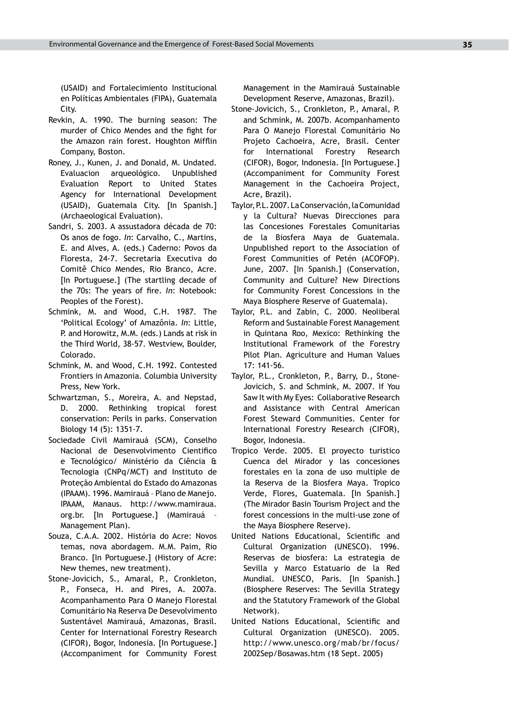(USAID) and Fortalecimiento Institucional en Políticas Ambientales (FIPA), Guatemala City.

- Revkin, A. 1990. The burning season: The murder of Chico Mendes and the fight for the Amazon rain forest. Houghton Mifflin Company, Boston.
- Roney, J., Kunen, J. and Donald, M. Undated. Evaluacion arqueológico. Unpublished Evaluation Report to United States Agency for International Development (USAID), Guatemala City. [In Spanish.] (Archaeological Evaluation).
- Sandri, S. 2003. A assustadora década de 70: Os anos de fogo. *In*: Carvalho, C., Martins, E. and Alves, A. (eds.) Caderno: Povos da Floresta, 24-7. Secretaria Executiva do Comitê Chico Mendes, Rio Branco, Acre. [In Portuguese.] (The startling decade of the 70s: The years of fire. *In*: Notebook: Peoples of the Forest).
- Schmink, M. and Wood, C.H. 1987. The 'Political Ecology' of Amazônia. *In*: Little, P. and Horowitz, M.M. (eds.) Lands at risk in the Third World, 38-57. Westview, Boulder, Colorado.
- Schmink, M. and Wood, C.H. 1992. Contested Frontiers in Amazonia. Columbia University Press, New York.
- Schwartzman, S., Moreira, A. and Nepstad, D. 2000. Rethinking tropical forest conservation: Perils in parks. Conservation Biology 14 (5): 1351-7.
- Sociedade Civil Mamirauá (SCM), Conselho Nacional de Desenvolvimento Cientifico e Tecnológico/ Ministério da Ciência & Tecnologia (CNPq/MCT) and Instituto de Proteção Ambiental do Estado do Amazonas (IPAAM). 1996. Mamirauá – Plano de Manejo. IPAAM, Manaus. http://www.mamiraua. org.br. [In Portuguese.] (Mamirauá – Management Plan).
- Souza, C.A.A. 2002. História do Acre: Novos temas, nova abordagem. M.M. Paim, Rio Branco. [In Portuguese.] (History of Acre: New themes, new treatment).
- Stone-Jovicich, S., Amaral, P., Cronkleton, P., Fonseca, H. and Pires, A. 2007a. Acompanhamento Para O Manejo Florestal Comunitário Na Reserva De Desevolvimento Sustentável Mamirauá, Amazonas, Brasil. Center for International Forestry Research (CIFOR), Bogor, Indonesia. [In Portuguese.] (Accompaniment for Community Forest

Management in the Mamirauá Sustainable Development Reserve, Amazonas, Brazil).

- Stone-Jovicich, S., Cronkleton, P., Amaral, P. and Schmink, M. 2007b. Acompanhamento Para O Manejo Florestal Comunitário No Projeto Cachoeira, Acre, Brasil. Center for International Forestry Research (CIFOR), Bogor, Indonesia. [In Portuguese.] (Accompaniment for Community Forest Management in the Cachoeira Project, Acre, Brazil).
- Taylor, P.L. 2007. La Conservación, la Comunidad y la Cultura? Nuevas Direcciones para las Concesiones Forestales Comunitarias de la Biosfera Maya de Guatemala. Unpublished report to the Association of Forest Communities of Petén (ACOFOP). June, 2007. [In Spanish.] (Conservation, Community and Culture? New Directions for Community Forest Concessions in the Maya Biosphere Reserve of Guatemala).
- Taylor, P.L. and Zabin, C. 2000. Neoliberal Reform and Sustainable Forest Management in Quintana Roo, Mexico: Rethinking the Institutional Framework of the Forestry Pilot Plan. Agriculture and Human Values 17: 141-56.
- Taylor, P.L., Cronkleton, P., Barry, D., Stone-Jovicich, S. and Schmink, M. 2007. If You Saw It with My Eyes: Collaborative Research and Assistance with Central American Forest Steward Communities. Center for International Forestry Research (CIFOR), Bogor, Indonesia.
- Tropico Verde. 2005. El proyecto turistico Cuenca del Mirador y las concesiones forestales en la zona de uso multiple de la Reserva de la Biosfera Maya. Tropico Verde, Flores, Guatemala. [In Spanish.] (The Mirador Basin Tourism Project and the forest concessions in the multi-use zone of the Maya Biosphere Reserve).
- United Nations Educational, Scientific and Cultural Organization (UNESCO). 1996. Reservas de biosfera: La estrategia de Sevilla y Marco Estatuario de la Red Mundial. UNESCO, Paris. [In Spanish.] (Biosphere Reserves: The Sevilla Strategy and the Statutory Framework of the Global Network).
- United Nations Educational, Scientific and Cultural Organization (UNESCO). 2005. http://www.unesco.org/mab/br/focus/ 2002Sep/Bosawas.htm (18 Sept. 2005)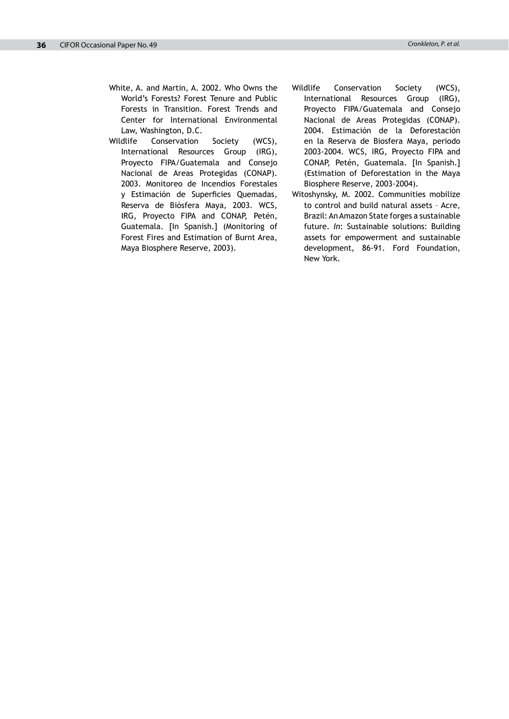- White, A. and Martin, A. 2002. Who Owns the World's Forests? Forest Tenure and Public Forests in Transition. Forest Trends and Center for International Environmental Law, Washington, D.C.
- Wildlife Conservation Society (WCS), International Resources Group (IRG), Proyecto FIPA/Guatemala and Consejo Nacional de Areas Protegidas (CONAP). 2003. Monitoreo de Incendios Forestales y Estimación de Superficies Quemadas, Reserva de Biósfera Maya, 2003. WCS, IRG, Proyecto FIPA and CONAP, Petén, Guatemala. [In Spanish.] (Monitoring of Forest Fires and Estimation of Burnt Area, Maya Biosphere Reserve, 2003).
- Wildlife Conservation Society (WCS), International Resources Group (IRG), Proyecto FIPA/Guatemala and Consejo Nacional de Areas Protegidas (CONAP). 2004. Estimación de la Deforestación en la Reserva de Biosfera Maya, periodo 2003-2004. WCS, IRG, Proyecto FIPA and CONAP, Petén, Guatemala. [In Spanish.] (Estimation of Deforestation in the Maya Biosphere Reserve, 2003-2004).
- Witoshynsky, M. 2002. Communities mobilize to control and build natural assets – Acre, Brazil: An Amazon State forges a sustainable future. *In*: Sustainable solutions: Building assets for empowerment and sustainable development, 86-91. Ford Foundation, New York.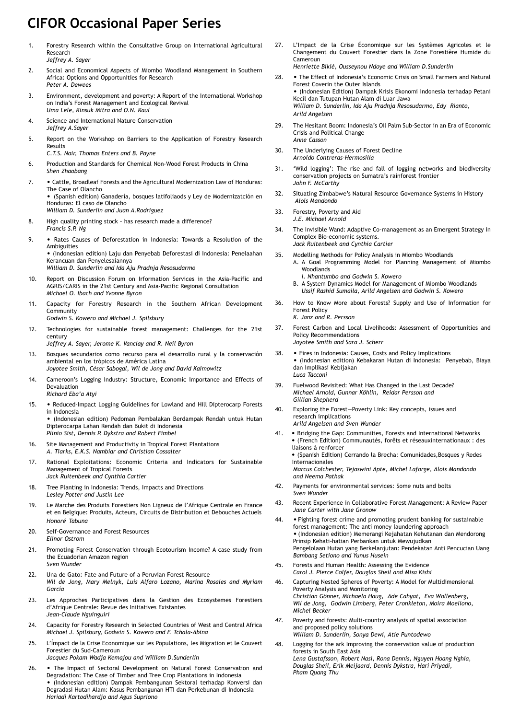### **CIFOR Occasional Paper Series**

- 1. Forestry Research within the Consultative Group on International Agricultural **Research** *Jeffrey A. Sayer*
- 2. Social and Economical Aspects of Miombo Woodland Management in Southern Africa: Options and Opportunities for Research *Peter A. Dewees*
- 3. Environment, development and poverty: A Report of the International Workshop on India's Forest Management and Ecological Revival *Uma Lele, Kinsuk Mitra and O.N. Kaul*
- 4. Science and International Nature Conservation *Jeffrey A.Sayer*
- 5. Report on the Workshop on Barriers to the Application of Forestry Research Results
	- *C.T.S. Nair, Thomas Enters and B. Payne*
- 6. Production and Standards for Chemical Non-Wood Forest Products in China *Shen Zhaobang*
- 7. Cattle, Broadleaf Forests and the Agricultural Modernization Law of Honduras: The Case of Olancho • (Spanish edition) Ganadería, bosques latifoliaods y Ley de Modernizatción en

Honduras: El caso de Olancho *William D. Sunderlin and Juan A.Rodriguez*

- 8. High quality printing stock has research made a difference? *Francis S.P. Ng*
- 9. Rates Causes of Deforestation in Indonesia: Towards a Resolution of the Ambiguities

• (Indonesian edition) Laju dan Penyebab Deforestasi di Indonesia: Penelaahan Kerancuan dan Penyelesaiannya *William D. Sunderlin and Ida Aju Pradnja Resosudarmo*

- 10. Report on Discussion Forum on Irformation Services in the Asia-Pacific and AGRIS/CARIS in the 21st Century and Asia-Pacific Regional Consultation *Michael O. Ibach and Yvonne Byron*
- 11. Capacity for Forestry Research in the Southern African Development Community
	- *Godwin S. Kowero and Michael J. Spilsbury*
- 12. Technologies for sustainable forest management: Challenges for the 21st century
	- *Jeffrey A. Sayer, Jerome K. Vanclay and R. Neil Byron*
- 13. Bosques secundarios como recurso para el desarrollo rural y la conservación ambiental en los trópicos de América Latina *Joyotee Smith, César Sabogal, Wil de Jong and David Kaimowitz*
- 14. Cameroon's Logging Industry: Structure, Economic Importance and Effects of Devaluation *Richard Eba'a Atyi*
- 15. Reduced-Impact Logging Guidelines for Lowland and Hill Dipterocarp Forests in Indonesia

• (Indonesian edition) Pedoman Pembalakan Berdampak Rendah untuk Hutan Dipterocarpa Lahan Rendah dan Bukit di Indonesia *Plinio Sist, Dennis P. Dykstra and Robert Fimbel*

- 16. Site Management and Productivity in Tropical Forest Plantations *A. Tiarks, E.K.S. Nambiar and Christian Cossalter*
- 17. Rational Exploitations: Economic Criteria and Indicators for Sustainable Management of Tropical Forests *Jack Ruitenbeek and Cynthia Cartier*
- 18. Tree Planting in Indonesia: Trends, Impacts and Directions *Lesley Potter and Justin Lee*
- 19. Le Marche des Produits Forestiers Non Ligneux de l'Afrique Centrale en France et en Belgique: Produits, Acteurs, Circuits de Distribution et Debouches Actuels *Honoré Tabuna*
- 20. Self-Governance and Forest Resources *Elinor Ostrom*
- 21. Promoting Forest Conservation through Ecotourism Income? A case study from the Ecuadorian Amazon region *Sven Wunder*
- 22. Una de Gato: Fate and Future of a Peruvian Forest Resource *Wil de Jong, Mary Melnyk, Luis Alfaro Lozano, Marina Rosales and Myriam García*
- 23. Les Approches Participatives dans la Gestion des Ecosystemes Forestiers d'Afrique Centrale: Revue des Initiatives Existantes *Jean-Claude Nguinguiri*
- 24. Capacity for Forestry Research in Selected Countries of West and Central Africa *Michael J. Spilsbury, Godwin S. Kowero and F. Tchala-Abina*
- 25. L'Ímpact de la Crise Economique sur les Populations, les Migration et le Couvert Forestier du Sud-Cameroun *Jacques Pokam Wadja Kemajou and William D.Sunderlin*
- 26. The Impact of Sectoral Development on Natural Forest Conservation and Degradation: The Case of Timber and Tree Crop Plantations in Indonesia • (Indonesian edition) Dampak Pembangunan Sektoral terhadap Konversi dan Degradasi Hutan Alam: Kasus Pembangunan HTI dan Perkebunan di Indonesia *Hariadi Kartodihardjo and Agus Supriono*
- 27. L'Impact de la Crise Économique sur les Systèmes Agricoles et le Changement du Couvert Forestier dans la Zone Forestière Humide du Cameroun *Henriette Bikié, Ousseynou Ndoye and William D.Sunderlin*
- 28. The Effect of Indonesia's Economic Crisis on Small Farmers and Natural Forest Coverin the Outer Islands • (Indonesian Edition) Dampak Krisis Ekonomi Indonesia terhadap Petani Kecil dan Tutupan Hutan Alam di Luar Jawa *William D. Sunderlin, Ida Aju Pradnja Resosudarmo, Edy Rianto, Arild Angelsen*
- 29. The Hesitant Boom: Indonesia's Oil Palm Sub-Sector in an Era of Economic Crisis and Political Change *Anne Casson*
- 30. The Underlying Causes of Forest Decline *Arnoldo Contreras-Hermosilla*
- 31. 'Wild logging': The rise and fall of logging networks and biodiversity conservation projects on Sumatra's rainforest frontier *John F. McCarthy*
- 32. Situating Zimbabwe's Natural Resource Governance Systems in History  *Alois Mandondo*
- 33. Forestry, Poverty and Aid *J.E. Michael Arnold*
- 34. The Invisible Wand: Adaptive Co-management as an Emergent Strategy in Complex Bio-economic systems. *Jack Ruitenbeek and Cynthia Cartier*
- 35. Modelling Methods for Policy Analysis in Miombo Woodlands A. A Goal Programming Model for Planning Management of Miombo **Woodlands**  *I. Nhantumbo and Godwin S. Kowero*
	- B. A System Dynamics Model for Management of Miombo Woodlands *Ussif Rashid Sumaila, Arild Angelsen and Godwin S. Kowero*
- 36. How to Know More about Forests? Supply and Use of Information for Forest Policy *K. Janz and R. Persson*
- 37. Forest Carbon and Local Livelihoods: Assessment of Opportunities and Policy Recommendations *Joyotee Smith and Sara J. Scherr*
- 38. Fires in Indonesia: Causes, Costs and Policy Implications • (Indonesian edition) Kebakaran Hutan di Indonesia: Penyebab, Biaya dan Implikasi Kebijakan *Luca Tacconi*
- 39. Fuelwood Revisited: What Has Changed in the Last Decade? *Michael Arnold, Gunnar Köhlin, Reidar Persson and Gillian Shepherd*
- 40. Exploring the Forest—Poverty Link: Key concepts, issues and research implications *Arild Angelsen and Sven Wunder*
- 41. Bridging the Gap: Communities, Forests and International Networks • (French Edition) Communautés, forêts et réseauxinternationaux : des liaisons à renforcer • (Spanish Edition) Cerrando la Brecha: Comunidades,Bosques y Redes Internacionales

*Marcus Colchester, Tejaswini Apte, Michel Laforge, Alois Mandondo and Neema Pathak*

- 42. Payments for environmental services: Some nuts and bolts *Sven Wunder*
- 43. Recent Experience in Collaborative Forest Management: A Review Paper *Jane Carter with Jane Gronow*
- 44. Fighting forest crime and promoting prudent banking for sustainable forest management: The anti money laundering approach • (Indonesian edition) Memerangi Kejahatan Kehutanan dan Mendorong Prinsip Kehati-hatian Perbankan untuk Mewujudkan Pengelolaan Hutan yang Berkelanjutan: Pendekatan Anti Pencucian Uang *Bambang Setiono and Yunus Husein*
- 45. Forests and Human Health: Assessing the Evidence *Carol J. Pierce Colfer, Douglas Sheil and Misa Kishi*
- 46. Capturing Nested Spheres of Poverty: A Model for Multidimensional Poverty Analysis and Monitoring *Christian Gönner, Michaela Haug, Ade Cahyat, Eva Wollenberg, Wil de Jong, Godwin Limberg, Peter Cronkleton, Moira Moeliono, Michel Becker*
- *47.* Poverty and forests: Multi-country analysis of spatial association and proposed policy solutions *William D. Sunderlin, Sonya Dewi, Atie Puntodewo*
- 48. Logging for the ark Improving the conservation value of production forests in South East Asia *Lena Gustafsson, Robert Nasi, Rona Dennis, Nguyen Hoang Nghia, Douglas Sheil, Erik Meijaard, Dennis Dykstra, Hari Priyadi, Pham Quang Thu*